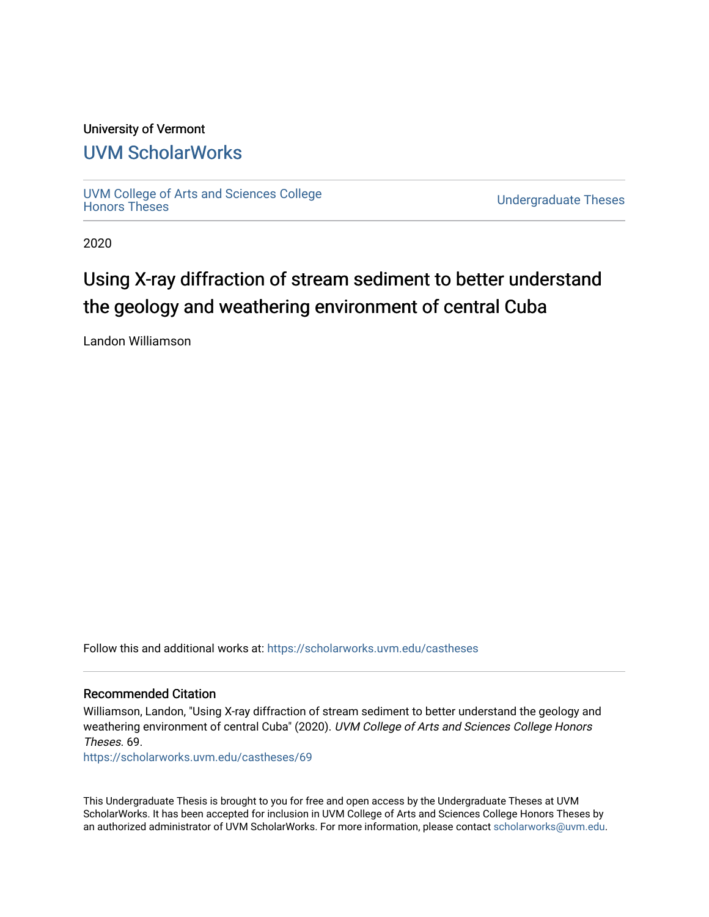#### University of Vermont

## [UVM ScholarWorks](https://scholarworks.uvm.edu/)

[UVM College of Arts and Sciences College](https://scholarworks.uvm.edu/castheses)

**Undergraduate Theses** 

2020

# Using X-ray diffraction of stream sediment to better understand the geology and weathering environment of central Cuba

Landon Williamson

Follow this and additional works at: [https://scholarworks.uvm.edu/castheses](https://scholarworks.uvm.edu/castheses?utm_source=scholarworks.uvm.edu%2Fcastheses%2F69&utm_medium=PDF&utm_campaign=PDFCoverPages)

#### Recommended Citation

Williamson, Landon, "Using X-ray diffraction of stream sediment to better understand the geology and weathering environment of central Cuba" (2020). UVM College of Arts and Sciences College Honors Theses. 69.

[https://scholarworks.uvm.edu/castheses/69](https://scholarworks.uvm.edu/castheses/69?utm_source=scholarworks.uvm.edu%2Fcastheses%2F69&utm_medium=PDF&utm_campaign=PDFCoverPages) 

This Undergraduate Thesis is brought to you for free and open access by the Undergraduate Theses at UVM ScholarWorks. It has been accepted for inclusion in UVM College of Arts and Sciences College Honors Theses by an authorized administrator of UVM ScholarWorks. For more information, please contact [scholarworks@uvm.edu.](mailto:scholarworks@uvm.edu)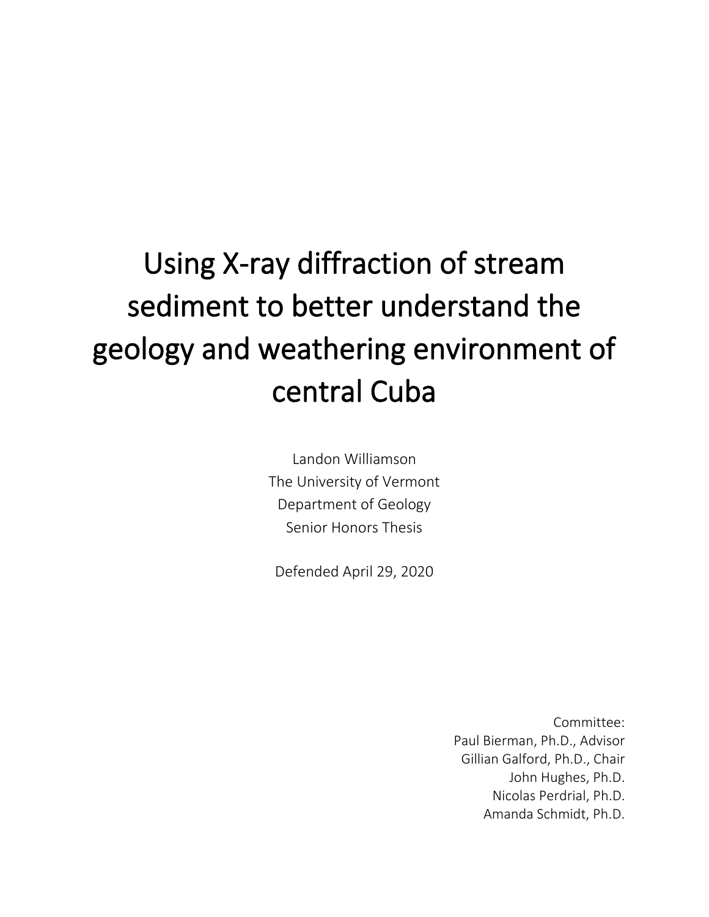# Using X-ray diffraction of stream sediment to better understand the geology and weathering environment of central Cuba

Landon Williamson The University of Vermont Department of Geology Senior Honors Thesis

Defended April 29, 2020

Committee: Paul Bierman, Ph.D., Advisor Gillian Galford, Ph.D., Chair John Hughes, Ph.D. Nicolas Perdrial, Ph.D. Amanda Schmidt, Ph.D.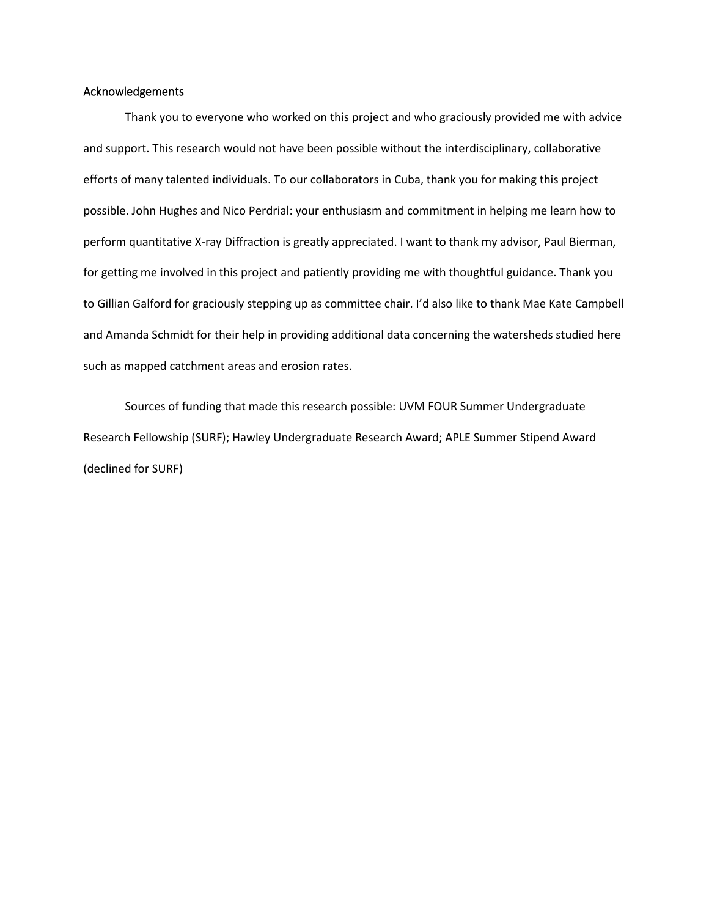#### Acknowledgements

Thank you to everyone who worked on this project and who graciously provided me with advice and support. This research would not have been possible without the interdisciplinary, collaborative efforts of many talented individuals. To our collaborators in Cuba, thank you for making this project possible. John Hughes and Nico Perdrial: your enthusiasm and commitment in helping me learn how to perform quantitative X-ray Diffraction is greatly appreciated. I want to thank my advisor, Paul Bierman, for getting me involved in this project and patiently providing me with thoughtful guidance. Thank you to Gillian Galford for graciously stepping up as committee chair. I'd also like to thank Mae Kate Campbell and Amanda Schmidt for their help in providing additional data concerning the watersheds studied here such as mapped catchment areas and erosion rates.

Sources of funding that made this research possible: UVM FOUR Summer Undergraduate Research Fellowship (SURF); Hawley Undergraduate Research Award; APLE Summer Stipend Award (declined for SURF)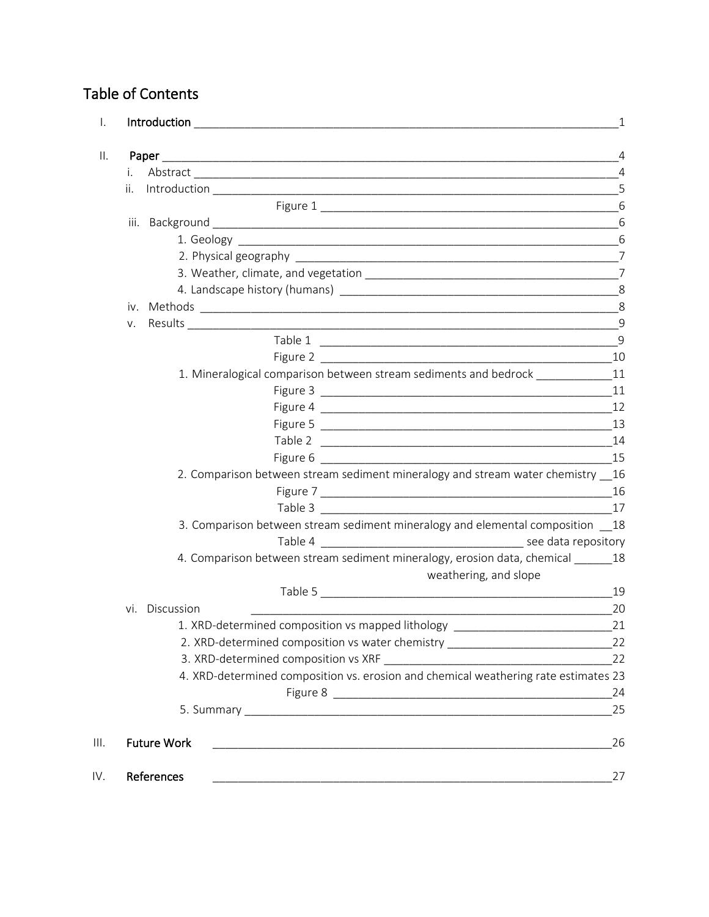# Table of Contents

|     |                                                                                     | 4        |
|-----|-------------------------------------------------------------------------------------|----------|
| i.  |                                                                                     |          |
| ii. |                                                                                     | 5        |
|     |                                                                                     | 6        |
|     |                                                                                     | 6        |
|     |                                                                                     |          |
|     |                                                                                     |          |
|     |                                                                                     |          |
|     |                                                                                     |          |
|     |                                                                                     | 8        |
| V.  |                                                                                     |          |
|     |                                                                                     | 9        |
|     |                                                                                     |          |
|     | 1. Mineralogical comparison between stream sediments and bedrock _____________11    |          |
|     |                                                                                     |          |
|     |                                                                                     |          |
|     |                                                                                     |          |
|     |                                                                                     |          |
|     |                                                                                     |          |
|     | 2. Comparison between stream sediment mineralogy and stream water chemistry 16      |          |
|     |                                                                                     |          |
|     | Table 3<br>$\overline{\phantom{a}17}$                                               |          |
|     | 3. Comparison between stream sediment mineralogy and elemental composition 18       |          |
|     |                                                                                     |          |
|     | 4. Comparison between stream sediment mineralogy, erosion data, chemical _______ 18 |          |
|     | weathering, and slope                                                               |          |
| vi. | Discussion                                                                          | 19<br>20 |
|     | 1. XRD-determined composition vs mapped lithology                                   | 21       |
|     | 2. XRD-determined composition vs water chemistry _______________________________    | 22       |
|     |                                                                                     | 22       |
|     | 4. XRD-determined composition vs. erosion and chemical weathering rate estimates 23 |          |
|     |                                                                                     | 24       |
|     |                                                                                     | 25       |
|     | <b>Future Work</b>                                                                  | 26       |
|     |                                                                                     |          |
|     | References                                                                          | 27       |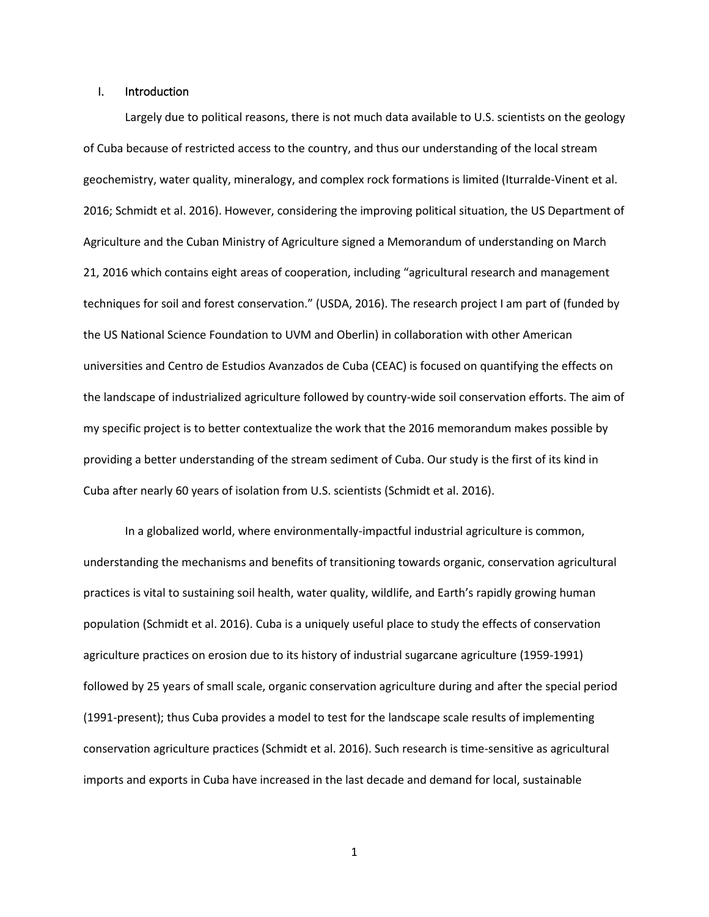#### I. Introduction

Largely due to political reasons, there is not much data available to U.S. scientists on the geology of Cuba because of restricted access to the country, and thus our understanding of the local stream geochemistry, water quality, mineralogy, and complex rock formations is limited (Iturralde-Vinent et al. 2016; Schmidt et al. 2016). However, considering the improving political situation, the US Department of Agriculture and the Cuban Ministry of Agriculture signed a Memorandum of understanding on March 21, 2016 which contains eight areas of cooperation, including "agricultural research and management techniques for soil and forest conservation." (USDA, 2016). The research project I am part of (funded by the US National Science Foundation to UVM and Oberlin) in collaboration with other American universities and Centro de Estudios Avanzados de Cuba (CEAC) is focused on quantifying the effects on the landscape of industrialized agriculture followed by country-wide soil conservation efforts. The aim of my specific project is to better contextualize the work that the 2016 memorandum makes possible by providing a better understanding of the stream sediment of Cuba. Our study is the first of its kind in Cuba after nearly 60 years of isolation from U.S. scientists (Schmidt et al. 2016).

In a globalized world, where environmentally-impactful industrial agriculture is common, understanding the mechanisms and benefits of transitioning towards organic, conservation agricultural practices is vital to sustaining soil health, water quality, wildlife, and Earth's rapidly growing human population (Schmidt et al. 2016). Cuba is a uniquely useful place to study the effects of conservation agriculture practices on erosion due to its history of industrial sugarcane agriculture (1959-1991) followed by 25 years of small scale, organic conservation agriculture during and after the special period (1991-present); thus Cuba provides a model to test for the landscape scale results of implementing conservation agriculture practices (Schmidt et al. 2016). Such research is time-sensitive as agricultural imports and exports in Cuba have increased in the last decade and demand for local, sustainable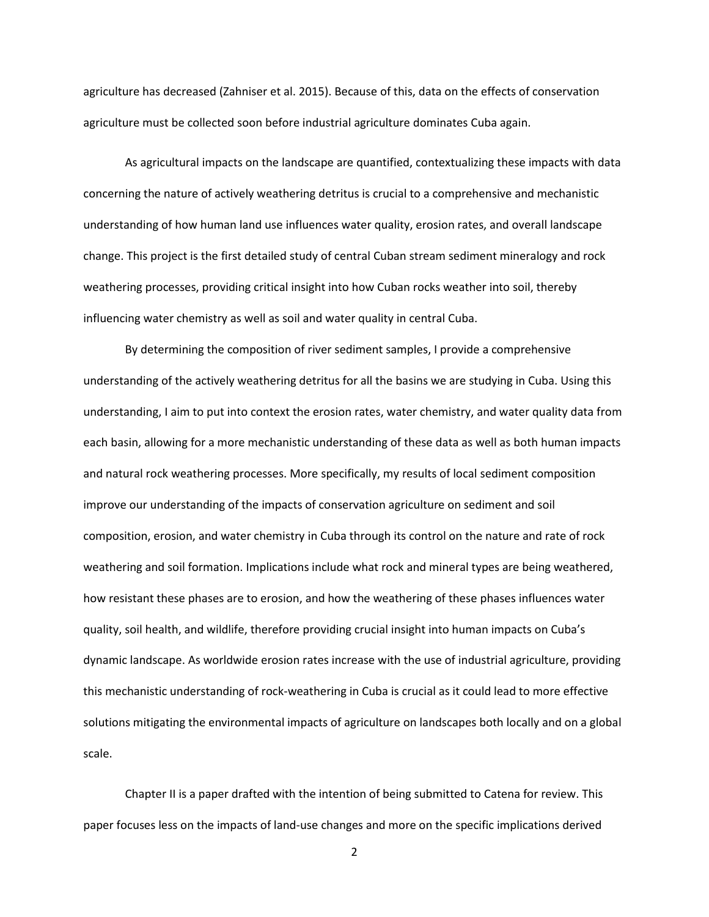agriculture has decreased (Zahniser et al. 2015). Because of this, data on the effects of conservation agriculture must be collected soon before industrial agriculture dominates Cuba again.

As agricultural impacts on the landscape are quantified, contextualizing these impacts with data concerning the nature of actively weathering detritus is crucial to a comprehensive and mechanistic understanding of how human land use influences water quality, erosion rates, and overall landscape change. This project is the first detailed study of central Cuban stream sediment mineralogy and rock weathering processes, providing critical insight into how Cuban rocks weather into soil, thereby influencing water chemistry as well as soil and water quality in central Cuba.

By determining the composition of river sediment samples, I provide a comprehensive understanding of the actively weathering detritus for all the basins we are studying in Cuba. Using this understanding, I aim to put into context the erosion rates, water chemistry, and water quality data from each basin, allowing for a more mechanistic understanding of these data as well as both human impacts and natural rock weathering processes. More specifically, my results of local sediment composition improve our understanding of the impacts of conservation agriculture on sediment and soil composition, erosion, and water chemistry in Cuba through its control on the nature and rate of rock weathering and soil formation. Implications include what rock and mineral types are being weathered, how resistant these phases are to erosion, and how the weathering of these phases influences water quality, soil health, and wildlife, therefore providing crucial insight into human impacts on Cuba's dynamic landscape. As worldwide erosion rates increase with the use of industrial agriculture, providing this mechanistic understanding of rock-weathering in Cuba is crucial as it could lead to more effective solutions mitigating the environmental impacts of agriculture on landscapes both locally and on a global scale.

Chapter II is a paper drafted with the intention of being submitted to Catena for review. This paper focuses less on the impacts of land-use changes and more on the specific implications derived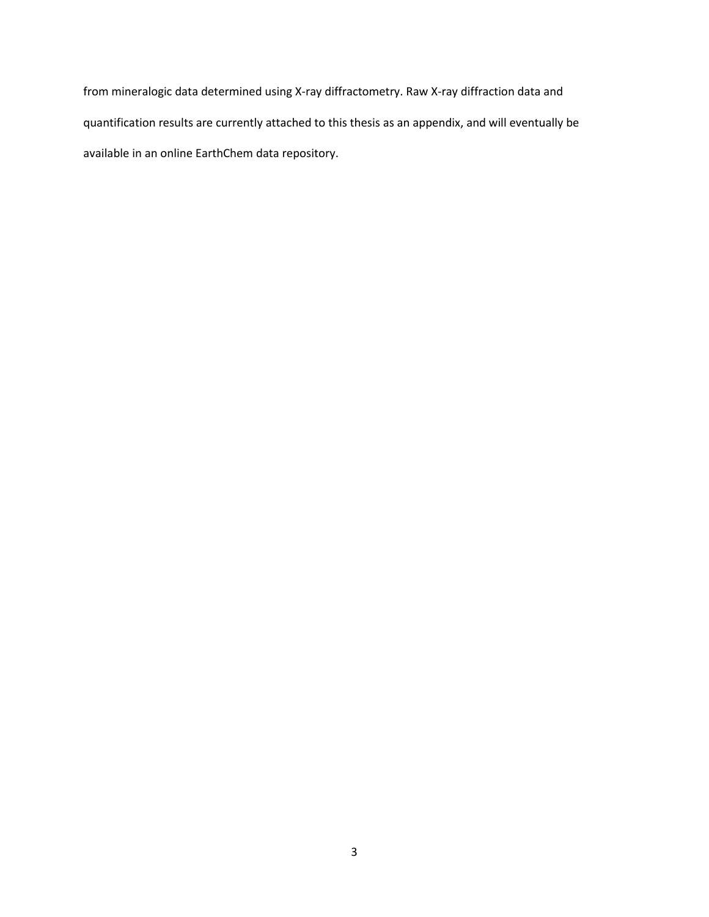from mineralogic data determined using X-ray diffractometry. Raw X-ray diffraction data and quantification results are currently attached to this thesis as an appendix, and will eventually be available in an online EarthChem data repository.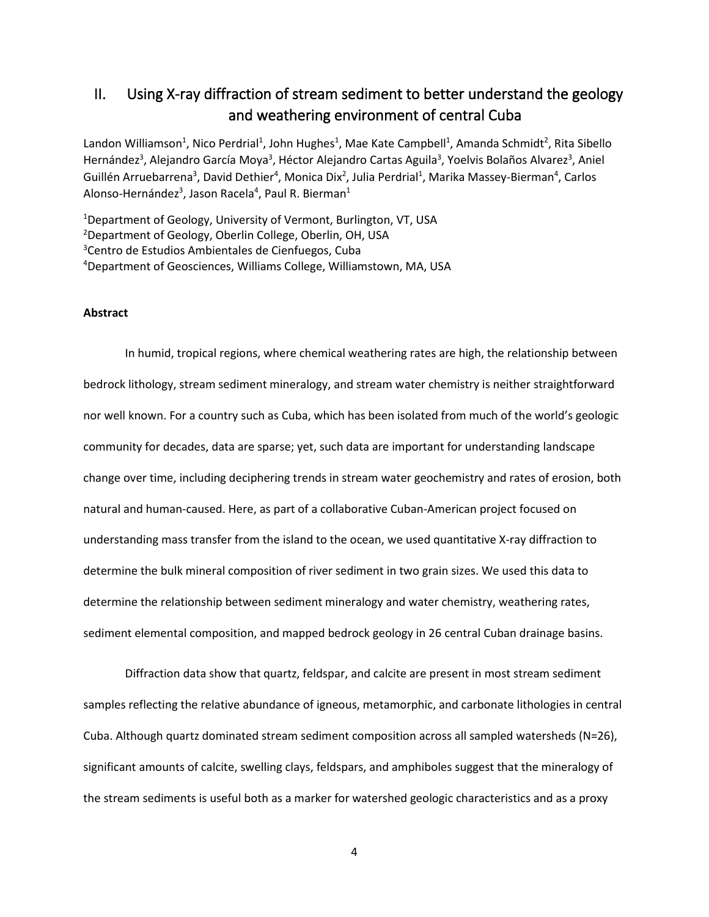### II. Using X-ray diffraction of stream sediment to better understand the geology and weathering environment of central Cuba

Landon Williamson<sup>1</sup>, Nico Perdrial<sup>1</sup>, John Hughes<sup>1</sup>, Mae Kate Campbell<sup>1</sup>, Amanda Schmidt<sup>2</sup>, Rita Sibello Hernández<sup>3</sup>, Alejandro García Moya<sup>3</sup>, Héctor Alejandro Cartas Aguila<sup>3</sup>, Yoelvis Bolaños Alvarez<sup>3</sup>, Aniel Guillén Arruebarrena<sup>3</sup>, David Dethier<sup>4</sup>, Monica Dix<sup>2</sup>, Julia Perdrial<sup>1</sup>, Marika Massey-Bierman<sup>4</sup>, Carlos Alonso-Hernández<sup>3</sup>, Jason Racela<sup>4</sup>, Paul R. Bierman<sup>1</sup>

<sup>1</sup>Department of Geology, University of Vermont, Burlington, VT, USA Department of Geology, Oberlin College, Oberlin, OH, USA Centro de Estudios Ambientales de Cienfuegos, Cuba Department of Geosciences, Williams College, Williamstown, MA, USA

#### **Abstract**

In humid, tropical regions, where chemical weathering rates are high, the relationship between bedrock lithology, stream sediment mineralogy, and stream water chemistry is neither straightforward nor well known. For a country such as Cuba, which has been isolated from much of the world's geologic community for decades, data are sparse; yet, such data are important for understanding landscape change over time, including deciphering trends in stream water geochemistry and rates of erosion, both natural and human-caused. Here, as part of a collaborative Cuban-American project focused on understanding mass transfer from the island to the ocean, we used quantitative X-ray diffraction to determine the bulk mineral composition of river sediment in two grain sizes. We used this data to determine the relationship between sediment mineralogy and water chemistry, weathering rates, sediment elemental composition, and mapped bedrock geology in 26 central Cuban drainage basins.

Diffraction data show that quartz, feldspar, and calcite are present in most stream sediment samples reflecting the relative abundance of igneous, metamorphic, and carbonate lithologies in central Cuba. Although quartz dominated stream sediment composition across all sampled watersheds (N=26), significant amounts of calcite, swelling clays, feldspars, and amphiboles suggest that the mineralogy of the stream sediments is useful both as a marker for watershed geologic characteristics and as a proxy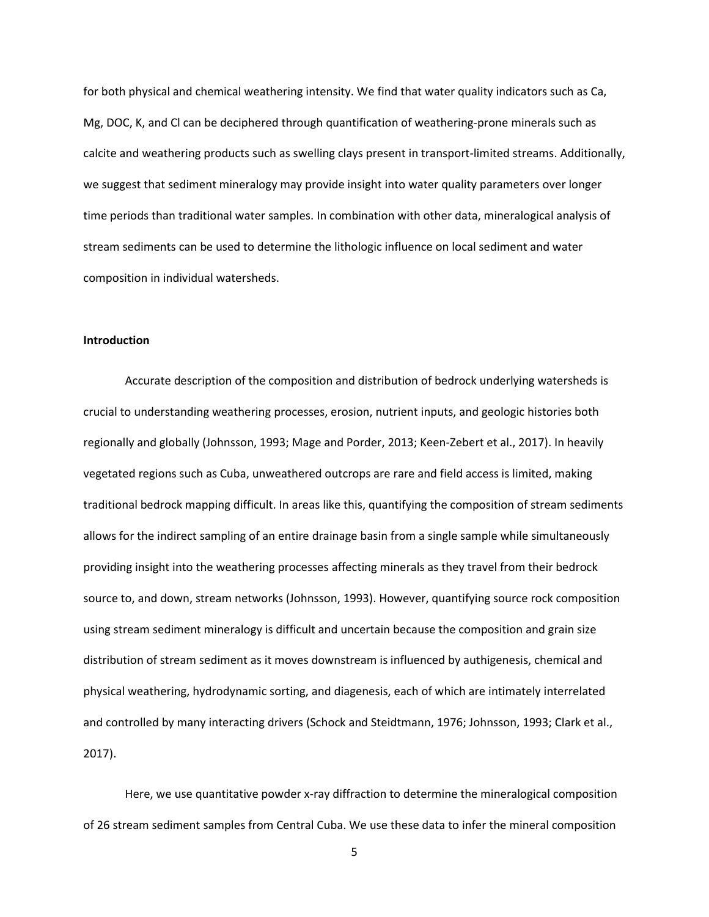for both physical and chemical weathering intensity. We find that water quality indicators such as Ca, Mg, DOC, K, and Cl can be deciphered through quantification of weathering-prone minerals such as calcite and weathering products such as swelling clays present in transport-limited streams. Additionally, we suggest that sediment mineralogy may provide insight into water quality parameters over longer time periods than traditional water samples. In combination with other data, mineralogical analysis of stream sediments can be used to determine the lithologic influence on local sediment and water composition in individual watersheds.

#### **Introduction**

Accurate description of the composition and distribution of bedrock underlying watersheds is crucial to understanding weathering processes, erosion, nutrient inputs, and geologic histories both regionally and globally (Johnsson, 1993; Mage and Porder, 2013; Keen-Zebert et al., 2017). In heavily vegetated regions such as Cuba, unweathered outcrops are rare and field access is limited, making traditional bedrock mapping difficult. In areas like this, quantifying the composition of stream sediments allows for the indirect sampling of an entire drainage basin from a single sample while simultaneously providing insight into the weathering processes affecting minerals as they travel from their bedrock source to, and down, stream networks (Johnsson, 1993). However, quantifying source rock composition using stream sediment mineralogy is difficult and uncertain because the composition and grain size distribution of stream sediment as it moves downstream is influenced by authigenesis, chemical and physical weathering, hydrodynamic sorting, and diagenesis, each of which are intimately interrelated and controlled by many interacting drivers (Schock and Steidtmann, 1976; Johnsson, 1993; Clark et al., 2017).

Here, we use quantitative powder x-ray diffraction to determine the mineralogical composition of 26 stream sediment samples from Central Cuba. We use these data to infer the mineral composition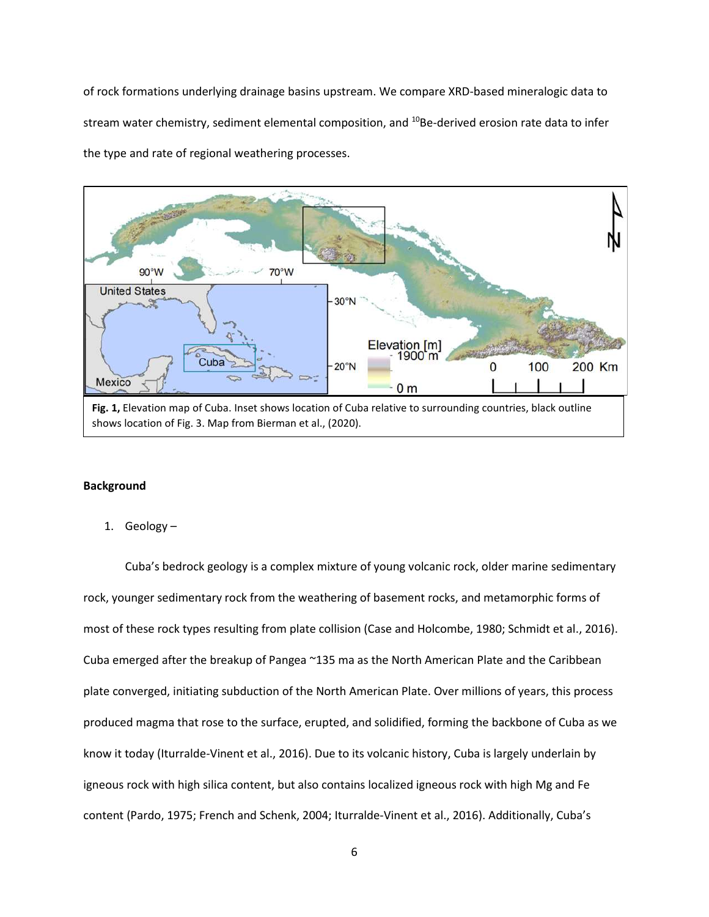of rock formations underlying drainage basins upstream. We compare XRD-based mineralogic data to stream water chemistry, sediment elemental composition, and <sup>10</sup>Be-derived erosion rate data to infer the type and rate of regional weathering processes.



#### **Background**

1. Geology –

Cuba's bedrock geology is a complex mixture of young volcanic rock, older marine sedimentary rock, younger sedimentary rock from the weathering of basement rocks, and metamorphic forms of most of these rock types resulting from plate collision (Case and Holcombe, 1980; Schmidt et al., 2016). Cuba emerged after the breakup of Pangea ~135 ma as the North American Plate and the Caribbean plate converged, initiating subduction of the North American Plate. Over millions of years, this process produced magma that rose to the surface, erupted, and solidified, forming the backbone of Cuba as we know it today (Iturralde-Vinent et al., 2016). Due to its volcanic history, Cuba is largely underlain by igneous rock with high silica content, but also contains localized igneous rock with high Mg and Fe content (Pardo, 1975; French and Schenk, 2004; Iturralde-Vinent et al., 2016). Additionally, Cuba's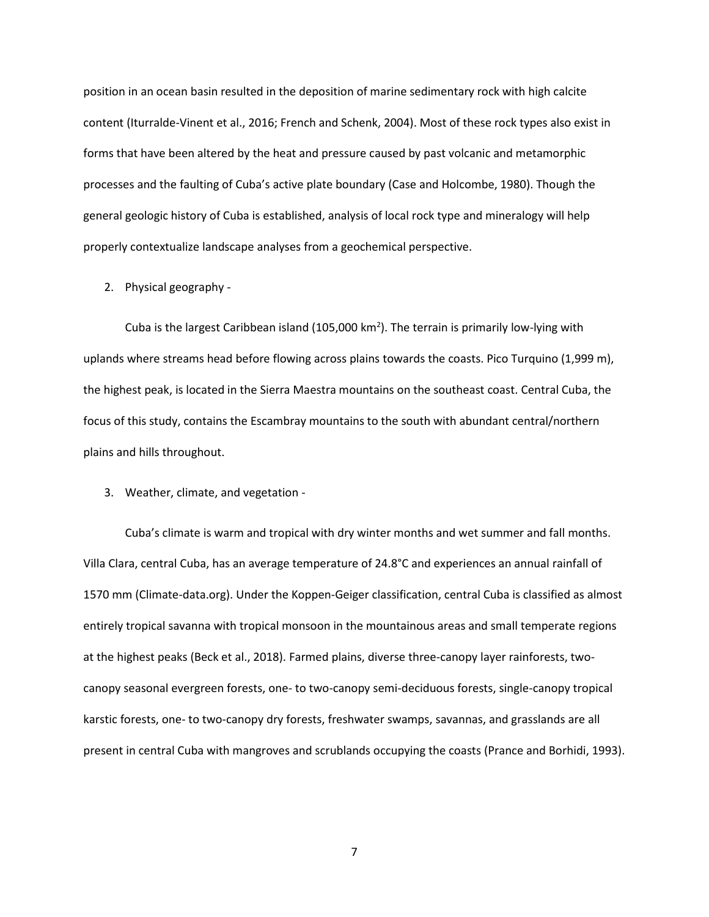position in an ocean basin resulted in the deposition of marine sedimentary rock with high calcite content (Iturralde-Vinent et al., 2016; French and Schenk, 2004). Most of these rock types also exist in forms that have been altered by the heat and pressure caused by past volcanic and metamorphic processes and the faulting of Cuba's active plate boundary (Case and Holcombe, 1980). Though the general geologic history of Cuba is established, analysis of local rock type and mineralogy will help properly contextualize landscape analyses from a geochemical perspective.

2. Physical geography -

Cuba is the largest Caribbean island (105,000 km<sup>2</sup>). The terrain is primarily low-lying with uplands where streams head before flowing across plains towards the coasts. Pico Turquino (1,999 m), the highest peak, is located in the Sierra Maestra mountains on the southeast coast. Central Cuba, the focus of this study, contains the Escambray mountains to the south with abundant central/northern plains and hills throughout.

#### 3. Weather, climate, and vegetation -

Cuba's climate is warm and tropical with dry winter months and wet summer and fall months. Villa Clara, central Cuba, has an average temperature of 24.8°C and experiences an annual rainfall of 1570 mm (Climate-data.org). Under the Koppen-Geiger classification, central Cuba is classified as almost entirely tropical savanna with tropical monsoon in the mountainous areas and small temperate regions at the highest peaks (Beck et al., 2018). Farmed plains, diverse three-canopy layer rainforests, twocanopy seasonal evergreen forests, one- to two-canopy semi-deciduous forests, single-canopy tropical karstic forests, one- to two-canopy dry forests, freshwater swamps, savannas, and grasslands are all present in central Cuba with mangroves and scrublands occupying the coasts (Prance and Borhidi, 1993).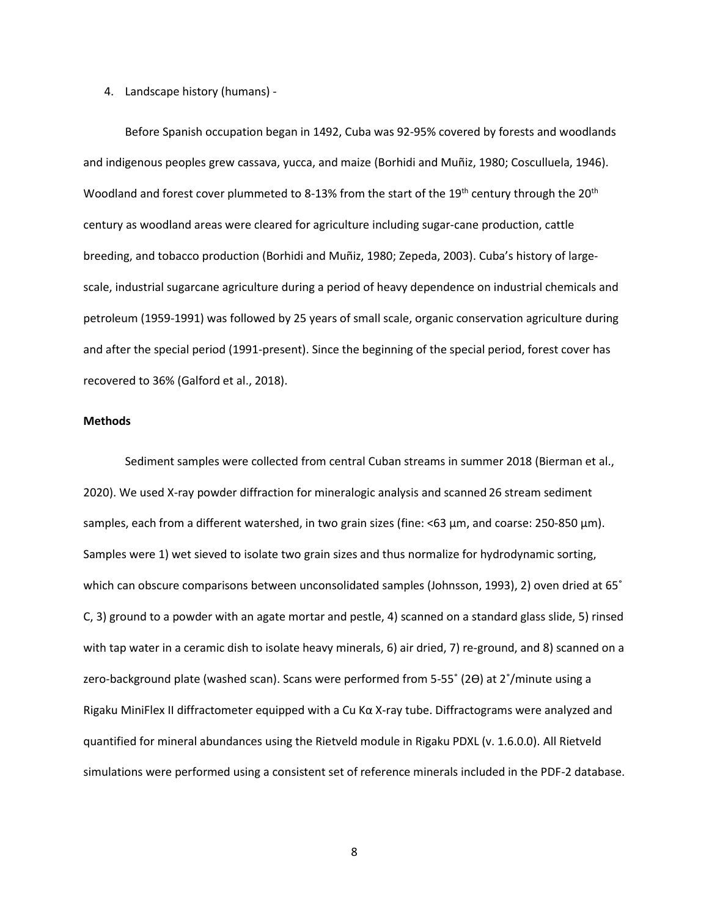#### 4. Landscape history (humans) -

Before Spanish occupation began in 1492, Cuba was 92-95% covered by forests and woodlands and indigenous peoples grew cassava, yucca, and maize (Borhidi and Muñiz, 1980; Cosculluela, 1946). Woodland and forest cover plummeted to 8-13% from the start of the 19<sup>th</sup> century through the 20<sup>th</sup> century as woodland areas were cleared for agriculture including sugar-cane production, cattle breeding, and tobacco production (Borhidi and Muñiz, 1980; Zepeda, 2003). Cuba's history of largescale, industrial sugarcane agriculture during a period of heavy dependence on industrial chemicals and petroleum (1959-1991) was followed by 25 years of small scale, organic conservation agriculture during and after the special period (1991-present). Since the beginning of the special period, forest cover has recovered to 36% (Galford et al., 2018).

#### **Methods**

Sediment samples were collected from central Cuban streams in summer 2018 (Bierman et al., 2020). We used X-ray powder diffraction for mineralogic analysis and scanned 26 stream sediment samples, each from a different watershed, in two grain sizes (fine: <63 µm, and coarse: 250-850 µm). Samples were 1) wet sieved to isolate two grain sizes and thus normalize for hydrodynamic sorting, which can obscure comparisons between unconsolidated samples (Johnsson, 1993), 2) oven dried at 65° C, 3) ground to a powder with an agate mortar and pestle, 4) scanned on a standard glass slide, 5) rinsed with tap water in a ceramic dish to isolate heavy minerals, 6) air dried, 7) re-ground, and 8) scanned on a zero-background plate (washed scan). Scans were performed from 5-55˚ (2ϴ) at 2˚/minute using a Rigaku MiniFlex II diffractometer equipped with a Cu Kα X-ray tube. Diffractograms were analyzed and quantified for mineral abundances using the Rietveld module in Rigaku PDXL (v. 1.6.0.0). All Rietveld simulations were performed using a consistent set of reference minerals included in the PDF-2 database.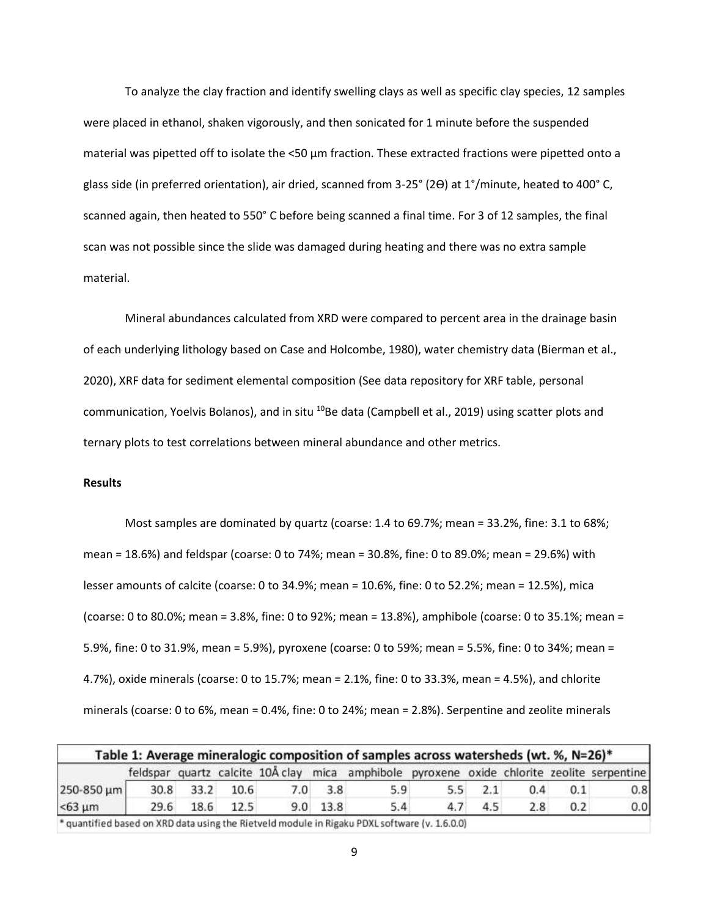To analyze the clay fraction and identify swelling clays as well as specific clay species, 12 samples were placed in ethanol, shaken vigorously, and then sonicated for 1 minute before the suspended material was pipetted off to isolate the <50  $\mu$ m fraction. These extracted fractions were pipetted onto a glass side (in preferred orientation), air dried, scanned from 3-25° (2ϴ) at 1°/minute, heated to 400° C, scanned again, then heated to 550° C before being scanned a final time. For 3 of 12 samples, the final scan was not possible since the slide was damaged during heating and there was no extra sample material.

Mineral abundances calculated from XRD were compared to percent area in the drainage basin of each underlying lithology based on Case and Holcombe, 1980), water chemistry data (Bierman et al., 2020), XRF data for sediment elemental composition (See data repository for XRF table, personal communication, Yoelvis Bolanos), and in situ <sup>10</sup>Be data (Campbell et al., 2019) using scatter plots and ternary plots to test correlations between mineral abundance and other metrics.

#### **Results**

Most samples are dominated by quartz (coarse: 1.4 to 69.7%; mean = 33.2%, fine: 3.1 to 68%; mean = 18.6%) and feldspar (coarse: 0 to 74%; mean = 30.8%, fine: 0 to 89.0%; mean = 29.6%) with lesser amounts of calcite (coarse: 0 to 34.9%; mean = 10.6%, fine: 0 to 52.2%; mean = 12.5%), mica (coarse: 0 to 80.0%; mean = 3.8%, fine: 0 to 92%; mean = 13.8%), amphibole (coarse: 0 to 35.1%; mean = 5.9%, fine: 0 to 31.9%, mean = 5.9%), pyroxene (coarse: 0 to 59%; mean = 5.5%, fine: 0 to 34%; mean = 4.7%), oxide minerals (coarse: 0 to 15.7%; mean = 2.1%, fine: 0 to 33.3%, mean = 4.5%), and chlorite minerals (coarse: 0 to 6%, mean = 0.4%, fine: 0 to 24%; mean = 2.8%). Serpentine and zeolite minerals

|              |      |                |           |                | feldspar quartz calcite 10Å clay mica amphibole pyroxene oxide chlorite zeolite serpentine |     |     |     |     |     |
|--------------|------|----------------|-----------|----------------|--------------------------------------------------------------------------------------------|-----|-----|-----|-----|-----|
| 250-850 µm   |      | 30.8 33.2 10.6 |           | $7.0\quad 3.8$ | 5.9                                                                                        | 5.5 | 2.1 | 0.4 | 0.1 | 0.8 |
| $< 63 \mu m$ | 29.6 |                | 18.6 12.5 | $9.0$ 13.8     | 5.4                                                                                        | 4.7 | 4.5 | 2.8 | 0.2 | 0.0 |

guantified based on XRD data using the Rietveld module in Rigaku PDXL software (v. 1.6.0.0) '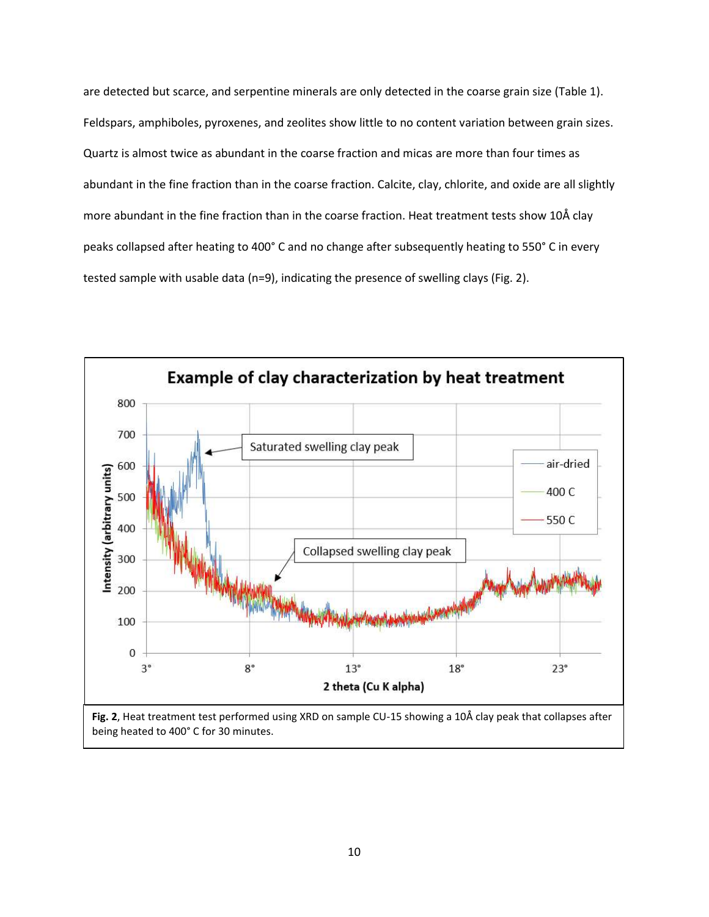are detected but scarce, and serpentine minerals are only detected in the coarse grain size (Table 1). Feldspars, amphiboles, pyroxenes, and zeolites show little to no content variation between grain sizes. Quartz is almost twice as abundant in the coarse fraction and micas are more than four times as abundant in the fine fraction than in the coarse fraction. Calcite, clay, chlorite, and oxide are all slightly more abundant in the fine fraction than in the coarse fraction. Heat treatment tests show 10Å clay peaks collapsed after heating to 400° C and no change after subsequently heating to 550° C in every tested sample with usable data (n=9), indicating the presence of swelling clays (Fig. 2).

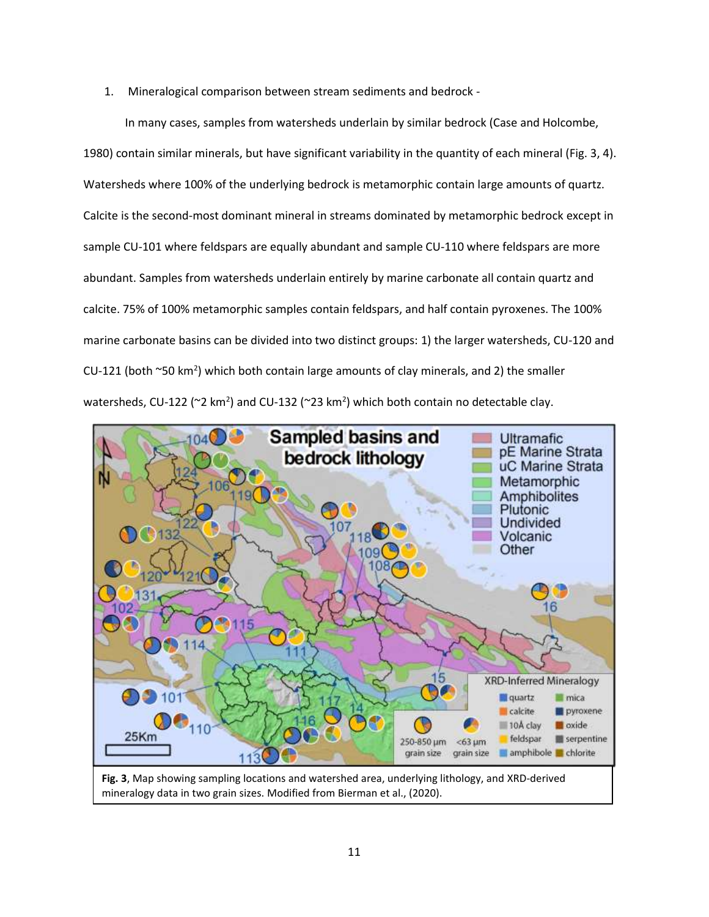1. Mineralogical comparison between stream sediments and bedrock -

In many cases, samples from watersheds underlain by similar bedrock (Case and Holcombe, 1980) contain similar minerals, but have significant variability in the quantity of each mineral (Fig. 3, 4). Watersheds where 100% of the underlying bedrock is metamorphic contain large amounts of quartz. Calcite is the second-most dominant mineral in streams dominated by metamorphic bedrock except in sample CU-101 where feldspars are equally abundant and sample CU-110 where feldspars are more abundant. Samples from watersheds underlain entirely by marine carbonate all contain quartz and calcite. 75% of 100% metamorphic samples contain feldspars, and half contain pyroxenes. The 100% marine carbonate basins can be divided into two distinct groups: 1) the larger watersheds, CU-120 and CU-121 (both  $\sim$ 50 km<sup>2</sup>) which both contain large amounts of clay minerals, and 2) the smaller watersheds, CU-122 ( $\approx$ 2 km<sup>2</sup>) and CU-132 ( $\approx$ 23 km<sup>2</sup>) which both contain no detectable clay.



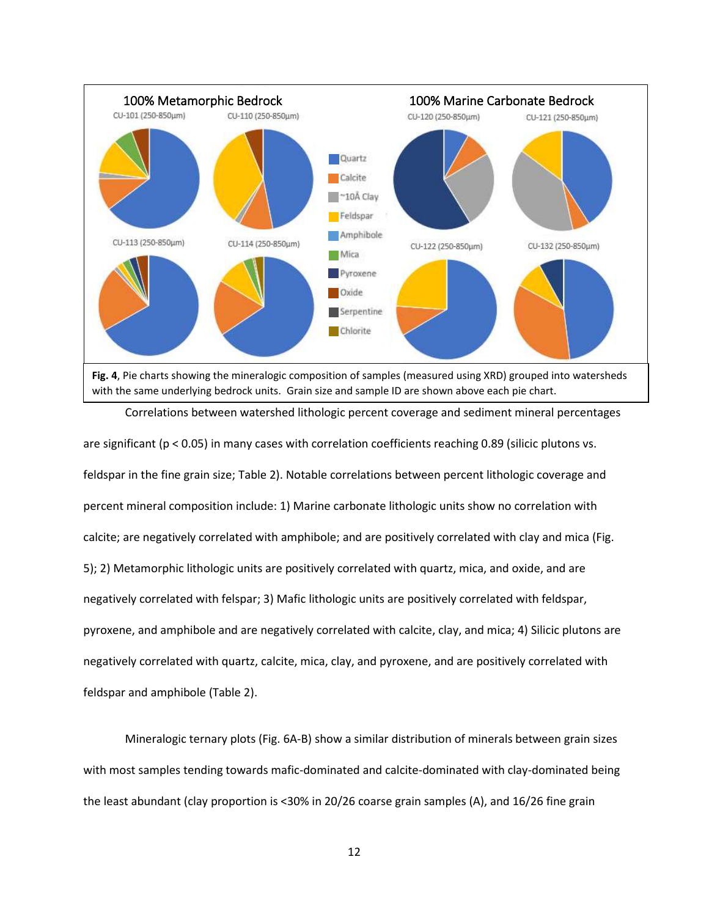

are significant (p < 0.05) in many cases with correlation coefficients reaching 0.89 (silicic plutons vs. feldspar in the fine grain size; Table 2). Notable correlations between percent lithologic coverage and percent mineral composition include: 1) Marine carbonate lithologic units show no correlation with calcite; are negatively correlated with amphibole; and are positively correlated with clay and mica (Fig. 5); 2) Metamorphic lithologic units are positively correlated with quartz, mica, and oxide, and are negatively correlated with felspar; 3) Mafic lithologic units are positively correlated with feldspar, pyroxene, and amphibole and are negatively correlated with calcite, clay, and mica; 4) Silicic plutons are negatively correlated with quartz, calcite, mica, clay, and pyroxene, and are positively correlated with feldspar and amphibole (Table 2).

Mineralogic ternary plots (Fig. 6A-B) show a similar distribution of minerals between grain sizes with most samples tending towards mafic-dominated and calcite-dominated with clay-dominated being the least abundant (clay proportion is <30% in 20/26 coarse grain samples (A), and 16/26 fine grain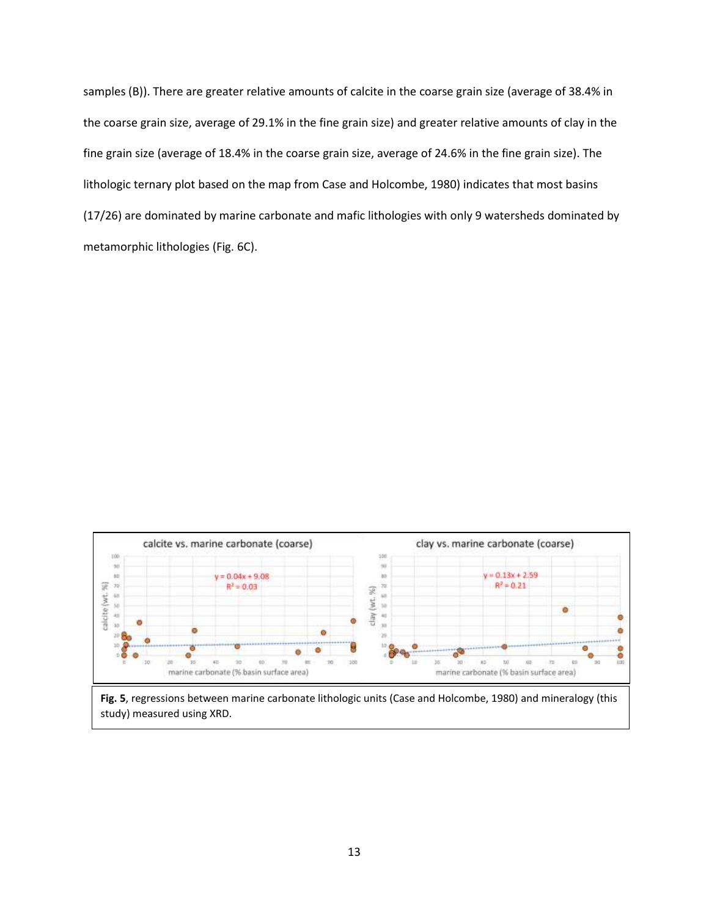samples (B)). There are greater relative amounts of calcite in the coarse grain size (average of 38.4% in the coarse grain size, average of 29.1% in the fine grain size) and greater relative amounts of clay in the fine grain size (average of 18.4% in the coarse grain size, average of 24.6% in the fine grain size). The lithologic ternary plot based on the map from Case and Holcombe, 1980) indicates that most basins (17/26) are dominated by marine carbonate and mafic lithologies with only 9 watersheds dominated by metamorphic lithologies (Fig. 6C).



study) measured using XRD.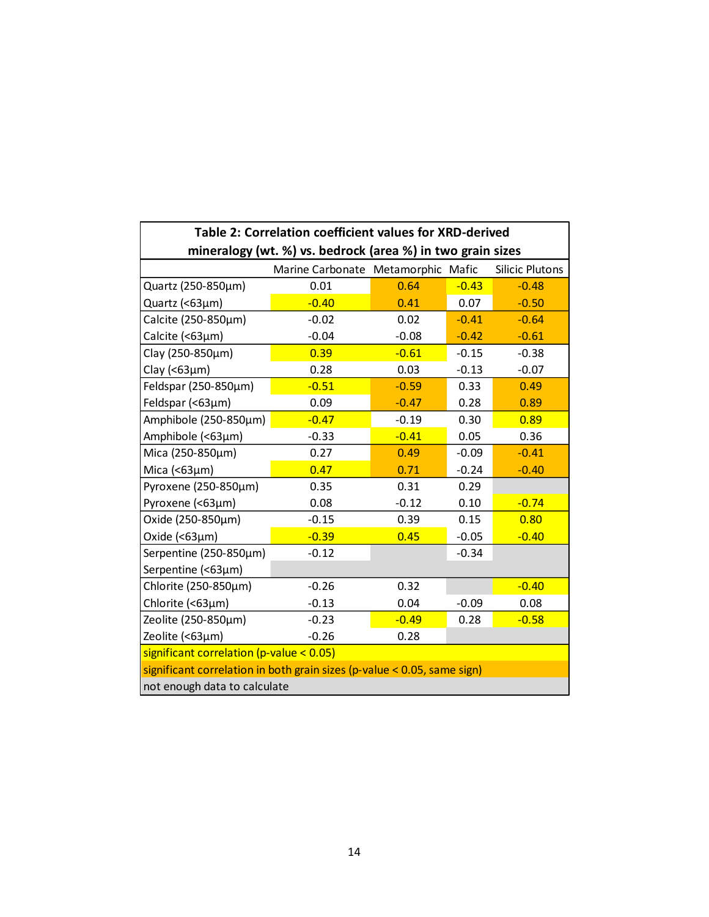| Table 2: Correlation coefficient values for XRD-derived    |                                                                            |         |         |                        |  |
|------------------------------------------------------------|----------------------------------------------------------------------------|---------|---------|------------------------|--|
| mineralogy (wt. %) vs. bedrock (area %) in two grain sizes |                                                                            |         |         |                        |  |
|                                                            | Marine Carbonate Metamorphic Mafic                                         |         |         | <b>Silicic Plutons</b> |  |
| Quartz (250-850µm)                                         | 0.01                                                                       | 0.64    | $-0.43$ | $-0.48$                |  |
| Quartz (<63µm)                                             | $-0.40$                                                                    | 0.41    | 0.07    | $-0.50$                |  |
| Calcite (250-850µm)                                        | $-0.02$                                                                    | 0.02    | $-0.41$ | $-0.64$                |  |
| Calcite (<63µm)                                            | $-0.04$                                                                    | $-0.08$ | $-0.42$ | $-0.61$                |  |
| Clay (250-850µm)                                           | 0.39                                                                       | $-0.61$ | $-0.15$ | $-0.38$                |  |
| Clay ( $<$ 63 $\mu$ m)                                     | 0.28                                                                       | 0.03    | $-0.13$ | $-0.07$                |  |
| Feldspar (250-850µm)                                       | $-0.51$                                                                    | $-0.59$ | 0.33    | 0.49                   |  |
| Feldspar (<63µm)                                           | 0.09                                                                       | $-0.47$ | 0.28    | 0.89                   |  |
| Amphibole (250-850µm)                                      | $-0.47$                                                                    | $-0.19$ | 0.30    | 0.89                   |  |
| Amphibole (<63µm)                                          | $-0.33$                                                                    | $-0.41$ | 0.05    | 0.36                   |  |
| Mica (250-850µm)                                           | 0.27                                                                       | 0.49    | $-0.09$ | $-0.41$                |  |
| Mica $( < 63 \mu m)$                                       | 0.47                                                                       | 0.71    | $-0.24$ | $-0.40$                |  |
| Pyroxene (250-850µm)                                       | 0.35                                                                       | 0.31    | 0.29    |                        |  |
| Pyroxene (<63µm)                                           | 0.08                                                                       | $-0.12$ | 0.10    | $-0.74$                |  |
| Oxide (250-850µm)                                          | $-0.15$                                                                    | 0.39    | 0.15    | 0.80                   |  |
| Oxide $( < 63 \mu m)$                                      | $-0.39$                                                                    | 0.45    | $-0.05$ | $-0.40$                |  |
| Serpentine (250-850µm)                                     | $-0.12$                                                                    |         | $-0.34$ |                        |  |
| Serpentine (<63µm)                                         |                                                                            |         |         |                        |  |
| Chlorite (250-850µm)                                       | $-0.26$                                                                    | 0.32    |         | $-0.40$                |  |
| Chlorite (<63µm)                                           | $-0.13$                                                                    | 0.04    | $-0.09$ | 0.08                   |  |
| Zeolite (250-850µm)                                        | $-0.23$                                                                    | $-0.49$ | 0.28    | $-0.58$                |  |
| Zeolite (<63µm)                                            | $-0.26$                                                                    | 0.28    |         |                        |  |
| significant correlation (p-value < $0.05$ )                |                                                                            |         |         |                        |  |
|                                                            | significant correlation in both grain sizes (p-value < $0.05$ , same sign) |         |         |                        |  |
| not enough data to calculate                               |                                                                            |         |         |                        |  |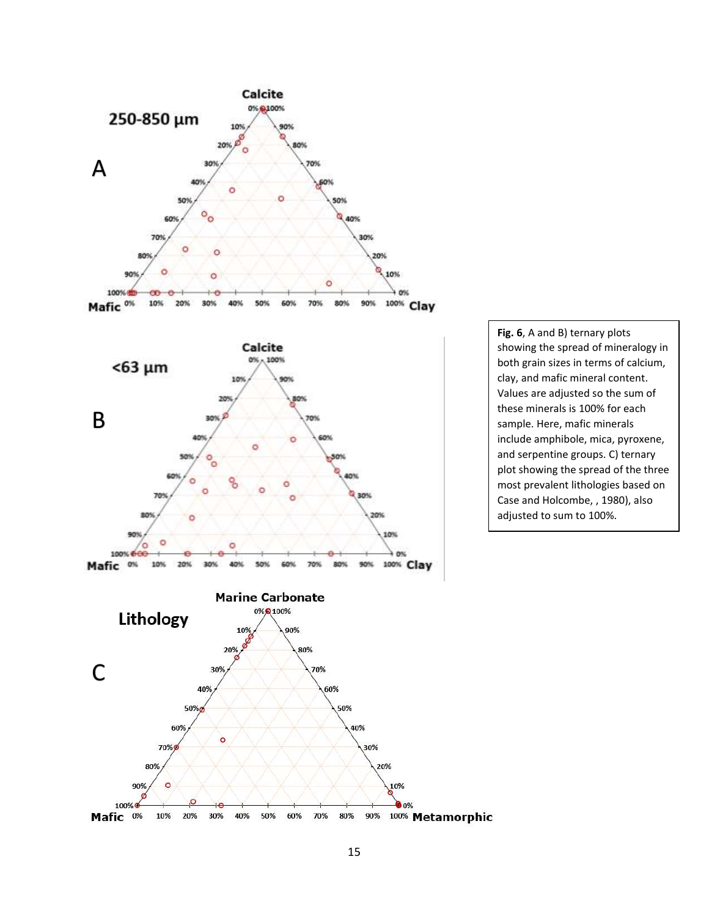

C ö

10%

100%

 $\circ$ 

**Fig. 6**, A and B) ternary plots showing the spread of mineralogy in both grain sizes in terms of calcium, clay, and mafic mineral content. Values are adjusted so the sum of these minerals is 100% for each sample. Here, mafic minerals include amphibole, mica, pyroxene, and serpentine groups. C) ternary plot showing the spread of the three most prevalent lithologies based on Case and Holcombe, , 1980), also adjusted to sum to 100%.



hthic t one

90%

O%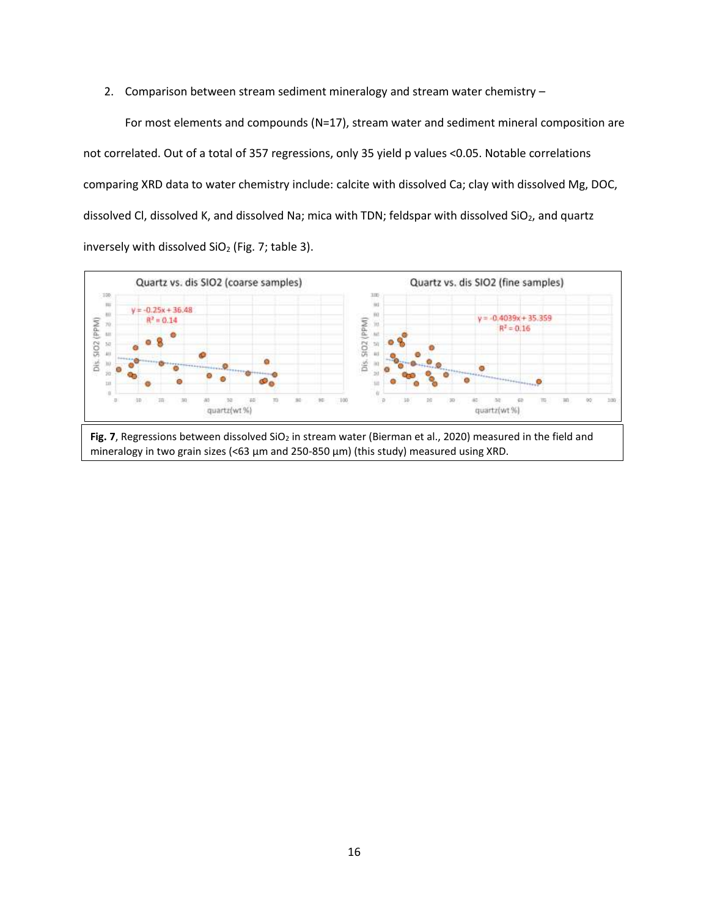2. Comparison between stream sediment mineralogy and stream water chemistry –

For most elements and compounds (N=17), stream water and sediment mineral composition are not correlated. Out of a total of 357 regressions, only 35 yield p values <0.05. Notable correlations comparing XRD data to water chemistry include: calcite with dissolved Ca; clay with dissolved Mg, DOC, dissolved Cl, dissolved K, and dissolved Na; mica with TDN; feldspar with dissolved SiO<sub>2</sub>, and quartz inversely with dissolved  $SiO<sub>2</sub>$  (Fig. 7; table 3).

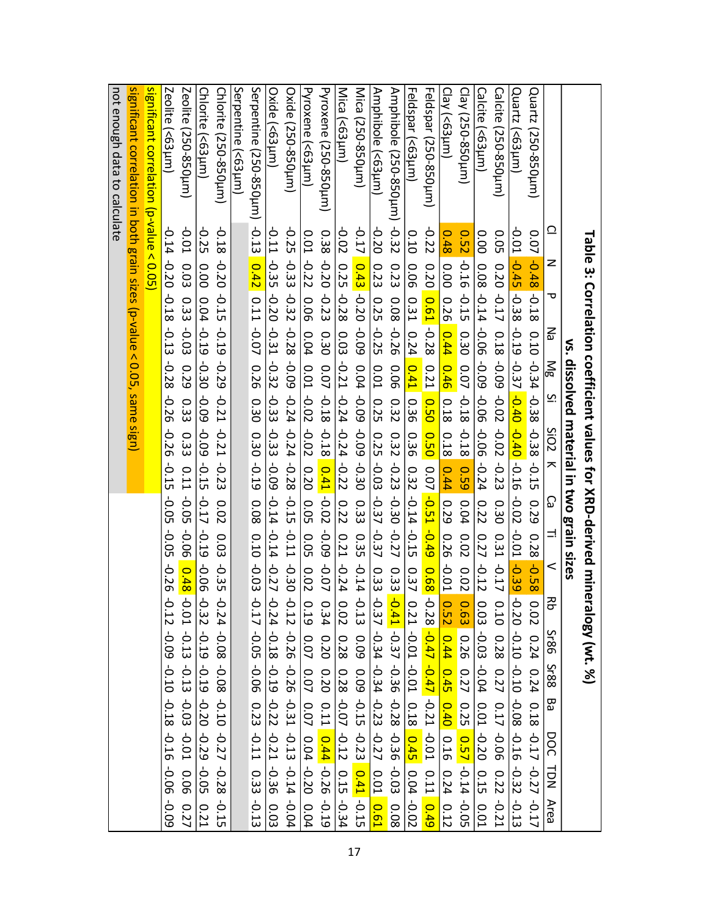| $\frac{1}{2}$ ignificant correlation (p-value < 0.05)<br>significant correlation in both grain sizes (p-value < 0.05, same sign)<br>Serpentine (<63µm)<br>Serpentine (250-850µm) -0.13 0.42 0.11 -0.07 0.30 0.30 0.30 -0.19<br>Zeolite (<63µm)<br>Zeolite (250-850µm)<br>Pyroxene (<63µm)<br>Mica (250-850µm)<br>Amphipole (<63km)<br>Amphibole (250-850pm) -0.32<br>Feldspar (<63µm)<br>Feldspar (250-850µm)<br>Chlorite (<63µm)<br>Chlorite (250-850µm)<br>Oxide (<63µm)<br>Oxide (250-850µm)<br>Pyroxene (250-850µm)<br>Mica (<63µm)<br>Calcite (<63µm)<br>not enough data to calculate<br>Clay (<63µm)<br>Clay (250-850µm)<br>Calcite (250-850µm)<br>Quartz (<63µm)<br>Quartz (250-850µm)<br>$-0.17$ 0.43 $-0.20$ -0.09<br>$-0.22$<br><b>-0.01</b><br>81.0-<br>$-0.25$<br>$-0.20$<br>$-0.25$<br>$-0.02$<br><u>റ</u><br>$-0.11$<br>$-0.01$<br>0.38<br>0.14<br>0.10<br>0.48<br>50°<br>$0.07 - 0.48 - 0.18$<br><b>D.O1</b><br>0.52<br>0.00<br>Table 3: Correlation coefficient values for XRD-derived mineralogy (wt. %)<br>-0.22<br>$-0.45$ $-0.38$ $-0.37$ $-0.37$ $-0.40$ $-0.27$<br>$-0.35 - 0.20 - 0.31$<br>$-0.20$<br>-0.33<br>$-0.20$<br>$-0.16$<br>$-0.20$<br>z<br><b>0.03</b><br>0.20<br>0.23<br>0.20<br>0.00<br>42.0-90.0-90.0-90.0-0.08 -0.08<br>$0.25 - 0.28$<br>0.00<br>0.23<br>0.06<br>-0.32<br>$-0.18$<br>$-0.15$<br>$-0.23$<br>$-0.17$<br>90.0<br>0.61 -0.28<br>$-0.15$<br>᠊ᠣ<br>0.08 -0.26<br>$0.33 - 0.03$<br>0.25<br>0.26<br>0.31<br>$0.04 - 0.19$<br>-0.19<br>$-0.25$<br>$-0.28$<br>$-0.13$<br>0.04<br>0.44<br>0.24<br>0.03<br>0.18<br>0.10 -0.34 -0.38 -0.38<br>ξ<br>0.30<br>0.30<br>vs. dissolved material in two grain sizes<br>-0.32<br>-0.29<br>$-0.09 - 0.24 - 0.24 - 0.28$<br>$-0.21 - 0.24 - 0.24 - 0.22$<br>-0.09<br>-0.30 -0.09<br>$0.01 - 0.02 - 0.02$<br>$-0.28$<br>0.41<br>0.46 0.18<br>Mg<br>0.29<br>0.04 -0.09 -0.09 -0.30<br>90.0<br>0.07 -0.18<br>$0.07 - 0.18$<br>$0.21$ 0.50<br><b>D.O1</b><br>$-0.02$<br>-0.33<br>$-0.21$<br><u>ب</u><br>0.32<br>0.33<br>92.0-<br>0.36<br>0.25<br>$-0.21$<br>$-0.02 - 0.23$<br>-0.33<br>-0.09<br>-0.18<br>$-0.18$<br>$-0.26$<br>SiO <sub>2</sub><br>0.33<br>0.50 0.07 -0.51<br>$0.32 - 0.23$<br>0.25<br>0.36<br>0.18<br>-0.09<br>$-0.03$<br>$-0.15$<br>$-0.23$<br>0.11<br>$\overline{\phantom{1}}$<br>0.41<br>0.59<br>$-0.15$<br>0.32<br>0.44<br>$-0.05$<br>$-0.14 - 0.15$<br>-0.30 -0.27<br>$-0.05$<br>$-0.02$<br>-0.14<br>$-0.15$<br>$-0.02$<br>$-0.17$<br>$-0.37$<br>0.33<br>ව<br>0.29<br>0.08 0.10 -0.03 -0.17 -0.05 -0.06 0.23 -0.11 0.33 -0.13<br>0.05<br>0.04<br>0.30<br>0.29<br>0.02<br>0.22<br>0.22<br>$-0.49$<br>$-0.06$<br>14 -0.27<br>$-0.05$<br>$-0.19$<br>$-0.11$<br>-0.37<br>-0.22 -0.39 -0.20 -0.02 -0.10 -0.08 -0.22<br><b>60°C</b><br>0.05<br>$\equiv$<br>0.31<br>0.35<br>0.02<br>$0.28 - 0.58$<br>0.03<br>0.21<br>$0.27 - 0.12$<br>0.26<br>$-0.06$<br>$-0.17$<br>$-0.24$<br>$-0.14$<br>$-0.30$<br>$-0.35$<br>$-0.26$<br>$-0.07$<br>$-0.01$<br>$\,<$<br>0.48 -0.01 -0.13<br>0.02<br>0.33<br>0.02<br>$0.68 - 0.28 - 0.47 - 0.47 - 0.21$<br>0.37<br>0.33<br>10.41 -0.37 -0.36 -0.28 -0.36 -0.03<br>$-0.24 - 0.18$<br>$-0.12$<br>$-0.32$<br>$-0.24$<br>Ť<br>ት<br>Ť<br>0.02<br>공<br>$\frac{0.21}{0.21} - 0.01 - 0.01$ 0.18 0.45<br>0.19<br>0.63<br>0.10<br>0.34<br>$0.03 - 0.03 - 0.04 - 0.01 - 0.20$<br>0.12<br>0.02<br>0.13 0.09<br>0.37<br>0.52<br>$-0.26 - 0.31 - 0.31 - 0.14$<br>80.0-<br>0.07<br>$-0.19$<br>$-0.34$<br>0.28<br><b>Sr86</b><br>60'0-<br>0.44<br>0.28<br>0.20<br>0.26<br>$0.24$ 0.24 $0.18$ -0.17 -0.27 -0.17<br>$-0.13 - 0.03$<br>$-0.19 - 0.22$<br>$-0.34 - 0.23$<br>0.07 0.07<br>$0.08 - 0.10$<br>0.19 - 0.20<br>$0.28 - 0.07$<br>0.20<br>$0.09 - 0.15 - 0.23$ $0.41 - 0.15$<br>0.45<br>0.27 0.25<br>0.27<br>$-0.10$<br><b>Sr88</b><br>0.17<br>$0.11$ $0.44$ $-0.26$<br>0.40 0.16<br>$-0.18$<br>Ba<br>-0.12 0.15 -0.34<br>$0.04 - 0.20$<br>$-0.01$<br>-0.01 0.06<br>-0.21 -0.36<br>90.0-<br>$-0.27$<br>0.57 -0.14<br>$-0.27$<br>$-0.16$<br>$-0.29 - 0.05$<br>DOC<br>$-0.28$<br>0.11<br>90.0-<br>0.24<br>0.22<br>$\overline{D}$<br>0.04<br><b>0.01</b><br>0.49<br>$-0.02$<br>$-0.13$<br>$-0.04$<br>-0.05<br>0.01<br>$-0.21$<br>0.04<br>-0.19<br>0.12<br>$-0.15$<br>0.61<br>80.0<br><b>60°C</b><br>0.27<br>0.03<br>Area<br>0.21 |  |
|---------------------------------------------------------------------------------------------------------------------------------------------------------------------------------------------------------------------------------------------------------------------------------------------------------------------------------------------------------------------------------------------------------------------------------------------------------------------------------------------------------------------------------------------------------------------------------------------------------------------------------------------------------------------------------------------------------------------------------------------------------------------------------------------------------------------------------------------------------------------------------------------------------------------------------------------------------------------------------------------------------------------------------------------------------------------------------------------------------------------------------------------------------------------------------------------------------------------------------------------------------------------------------------------------------------------------------------------------------------------------------------------------------------------------------------------------------------------------------------------------------------------------------------------------------------------------------------------------------------------------------------------------------------------------------------------------------------------------------------------------------------------------------------------------------------------------------------------------------------------------------------------------------------------------------------------------------------------------------------------------------------------------------------------------------------------------------------------------------------------------------------------------------------------------------------------------------------------------------------------------------------------------------------------------------------------------------------------------------------------------------------------------------------------------------------------------------------------------------------------------------------------------------------------------------------------------------------------------------------------------------------------------------------------------------------------------------------------------------------------------------------------------------------------------------------------------------------------------------------------------------------------------------------------------------------------------------------------------------------------------------------------------------------------------------------------------------------------------------------------------------------------------------------------------------------------------------------------------------------------------------------------------------------------------------------------------------------------------------------------------------------------------------------------------------------------------------------------------------------------------------------------------------------------------------------------------------------------------------------------------------------------------------------------------------------------------------------------------------------------------------------------------------------------------------------------------------------------------------------------------------------------------------------------------------------------------------------------------------------------------------------------------------------------------------------------------------------------------------------------------------------------------------------------------------------------------------------------------------------------|--|
|                                                                                                                                                                                                                                                                                                                                                                                                                                                                                                                                                                                                                                                                                                                                                                                                                                                                                                                                                                                                                                                                                                                                                                                                                                                                                                                                                                                                                                                                                                                                                                                                                                                                                                                                                                                                                                                                                                                                                                                                                                                                                                                                                                                                                                                                                                                                                                                                                                                                                                                                                                                                                                                                                                                                                                                                                                                                                                                                                                                                                                                                                                                                                                                                                                                                                                                                                                                                                                                                                                                                                                                                                                                                                                                                                                                                                                                                                                                                                                                                                                                                                                                                                                                                                                             |  |
|                                                                                                                                                                                                                                                                                                                                                                                                                                                                                                                                                                                                                                                                                                                                                                                                                                                                                                                                                                                                                                                                                                                                                                                                                                                                                                                                                                                                                                                                                                                                                                                                                                                                                                                                                                                                                                                                                                                                                                                                                                                                                                                                                                                                                                                                                                                                                                                                                                                                                                                                                                                                                                                                                                                                                                                                                                                                                                                                                                                                                                                                                                                                                                                                                                                                                                                                                                                                                                                                                                                                                                                                                                                                                                                                                                                                                                                                                                                                                                                                                                                                                                                                                                                                                                             |  |
|                                                                                                                                                                                                                                                                                                                                                                                                                                                                                                                                                                                                                                                                                                                                                                                                                                                                                                                                                                                                                                                                                                                                                                                                                                                                                                                                                                                                                                                                                                                                                                                                                                                                                                                                                                                                                                                                                                                                                                                                                                                                                                                                                                                                                                                                                                                                                                                                                                                                                                                                                                                                                                                                                                                                                                                                                                                                                                                                                                                                                                                                                                                                                                                                                                                                                                                                                                                                                                                                                                                                                                                                                                                                                                                                                                                                                                                                                                                                                                                                                                                                                                                                                                                                                                             |  |
|                                                                                                                                                                                                                                                                                                                                                                                                                                                                                                                                                                                                                                                                                                                                                                                                                                                                                                                                                                                                                                                                                                                                                                                                                                                                                                                                                                                                                                                                                                                                                                                                                                                                                                                                                                                                                                                                                                                                                                                                                                                                                                                                                                                                                                                                                                                                                                                                                                                                                                                                                                                                                                                                                                                                                                                                                                                                                                                                                                                                                                                                                                                                                                                                                                                                                                                                                                                                                                                                                                                                                                                                                                                                                                                                                                                                                                                                                                                                                                                                                                                                                                                                                                                                                                             |  |
|                                                                                                                                                                                                                                                                                                                                                                                                                                                                                                                                                                                                                                                                                                                                                                                                                                                                                                                                                                                                                                                                                                                                                                                                                                                                                                                                                                                                                                                                                                                                                                                                                                                                                                                                                                                                                                                                                                                                                                                                                                                                                                                                                                                                                                                                                                                                                                                                                                                                                                                                                                                                                                                                                                                                                                                                                                                                                                                                                                                                                                                                                                                                                                                                                                                                                                                                                                                                                                                                                                                                                                                                                                                                                                                                                                                                                                                                                                                                                                                                                                                                                                                                                                                                                                             |  |
|                                                                                                                                                                                                                                                                                                                                                                                                                                                                                                                                                                                                                                                                                                                                                                                                                                                                                                                                                                                                                                                                                                                                                                                                                                                                                                                                                                                                                                                                                                                                                                                                                                                                                                                                                                                                                                                                                                                                                                                                                                                                                                                                                                                                                                                                                                                                                                                                                                                                                                                                                                                                                                                                                                                                                                                                                                                                                                                                                                                                                                                                                                                                                                                                                                                                                                                                                                                                                                                                                                                                                                                                                                                                                                                                                                                                                                                                                                                                                                                                                                                                                                                                                                                                                                             |  |
|                                                                                                                                                                                                                                                                                                                                                                                                                                                                                                                                                                                                                                                                                                                                                                                                                                                                                                                                                                                                                                                                                                                                                                                                                                                                                                                                                                                                                                                                                                                                                                                                                                                                                                                                                                                                                                                                                                                                                                                                                                                                                                                                                                                                                                                                                                                                                                                                                                                                                                                                                                                                                                                                                                                                                                                                                                                                                                                                                                                                                                                                                                                                                                                                                                                                                                                                                                                                                                                                                                                                                                                                                                                                                                                                                                                                                                                                                                                                                                                                                                                                                                                                                                                                                                             |  |
|                                                                                                                                                                                                                                                                                                                                                                                                                                                                                                                                                                                                                                                                                                                                                                                                                                                                                                                                                                                                                                                                                                                                                                                                                                                                                                                                                                                                                                                                                                                                                                                                                                                                                                                                                                                                                                                                                                                                                                                                                                                                                                                                                                                                                                                                                                                                                                                                                                                                                                                                                                                                                                                                                                                                                                                                                                                                                                                                                                                                                                                                                                                                                                                                                                                                                                                                                                                                                                                                                                                                                                                                                                                                                                                                                                                                                                                                                                                                                                                                                                                                                                                                                                                                                                             |  |
|                                                                                                                                                                                                                                                                                                                                                                                                                                                                                                                                                                                                                                                                                                                                                                                                                                                                                                                                                                                                                                                                                                                                                                                                                                                                                                                                                                                                                                                                                                                                                                                                                                                                                                                                                                                                                                                                                                                                                                                                                                                                                                                                                                                                                                                                                                                                                                                                                                                                                                                                                                                                                                                                                                                                                                                                                                                                                                                                                                                                                                                                                                                                                                                                                                                                                                                                                                                                                                                                                                                                                                                                                                                                                                                                                                                                                                                                                                                                                                                                                                                                                                                                                                                                                                             |  |
|                                                                                                                                                                                                                                                                                                                                                                                                                                                                                                                                                                                                                                                                                                                                                                                                                                                                                                                                                                                                                                                                                                                                                                                                                                                                                                                                                                                                                                                                                                                                                                                                                                                                                                                                                                                                                                                                                                                                                                                                                                                                                                                                                                                                                                                                                                                                                                                                                                                                                                                                                                                                                                                                                                                                                                                                                                                                                                                                                                                                                                                                                                                                                                                                                                                                                                                                                                                                                                                                                                                                                                                                                                                                                                                                                                                                                                                                                                                                                                                                                                                                                                                                                                                                                                             |  |
|                                                                                                                                                                                                                                                                                                                                                                                                                                                                                                                                                                                                                                                                                                                                                                                                                                                                                                                                                                                                                                                                                                                                                                                                                                                                                                                                                                                                                                                                                                                                                                                                                                                                                                                                                                                                                                                                                                                                                                                                                                                                                                                                                                                                                                                                                                                                                                                                                                                                                                                                                                                                                                                                                                                                                                                                                                                                                                                                                                                                                                                                                                                                                                                                                                                                                                                                                                                                                                                                                                                                                                                                                                                                                                                                                                                                                                                                                                                                                                                                                                                                                                                                                                                                                                             |  |
|                                                                                                                                                                                                                                                                                                                                                                                                                                                                                                                                                                                                                                                                                                                                                                                                                                                                                                                                                                                                                                                                                                                                                                                                                                                                                                                                                                                                                                                                                                                                                                                                                                                                                                                                                                                                                                                                                                                                                                                                                                                                                                                                                                                                                                                                                                                                                                                                                                                                                                                                                                                                                                                                                                                                                                                                                                                                                                                                                                                                                                                                                                                                                                                                                                                                                                                                                                                                                                                                                                                                                                                                                                                                                                                                                                                                                                                                                                                                                                                                                                                                                                                                                                                                                                             |  |
|                                                                                                                                                                                                                                                                                                                                                                                                                                                                                                                                                                                                                                                                                                                                                                                                                                                                                                                                                                                                                                                                                                                                                                                                                                                                                                                                                                                                                                                                                                                                                                                                                                                                                                                                                                                                                                                                                                                                                                                                                                                                                                                                                                                                                                                                                                                                                                                                                                                                                                                                                                                                                                                                                                                                                                                                                                                                                                                                                                                                                                                                                                                                                                                                                                                                                                                                                                                                                                                                                                                                                                                                                                                                                                                                                                                                                                                                                                                                                                                                                                                                                                                                                                                                                                             |  |
|                                                                                                                                                                                                                                                                                                                                                                                                                                                                                                                                                                                                                                                                                                                                                                                                                                                                                                                                                                                                                                                                                                                                                                                                                                                                                                                                                                                                                                                                                                                                                                                                                                                                                                                                                                                                                                                                                                                                                                                                                                                                                                                                                                                                                                                                                                                                                                                                                                                                                                                                                                                                                                                                                                                                                                                                                                                                                                                                                                                                                                                                                                                                                                                                                                                                                                                                                                                                                                                                                                                                                                                                                                                                                                                                                                                                                                                                                                                                                                                                                                                                                                                                                                                                                                             |  |
|                                                                                                                                                                                                                                                                                                                                                                                                                                                                                                                                                                                                                                                                                                                                                                                                                                                                                                                                                                                                                                                                                                                                                                                                                                                                                                                                                                                                                                                                                                                                                                                                                                                                                                                                                                                                                                                                                                                                                                                                                                                                                                                                                                                                                                                                                                                                                                                                                                                                                                                                                                                                                                                                                                                                                                                                                                                                                                                                                                                                                                                                                                                                                                                                                                                                                                                                                                                                                                                                                                                                                                                                                                                                                                                                                                                                                                                                                                                                                                                                                                                                                                                                                                                                                                             |  |
|                                                                                                                                                                                                                                                                                                                                                                                                                                                                                                                                                                                                                                                                                                                                                                                                                                                                                                                                                                                                                                                                                                                                                                                                                                                                                                                                                                                                                                                                                                                                                                                                                                                                                                                                                                                                                                                                                                                                                                                                                                                                                                                                                                                                                                                                                                                                                                                                                                                                                                                                                                                                                                                                                                                                                                                                                                                                                                                                                                                                                                                                                                                                                                                                                                                                                                                                                                                                                                                                                                                                                                                                                                                                                                                                                                                                                                                                                                                                                                                                                                                                                                                                                                                                                                             |  |
|                                                                                                                                                                                                                                                                                                                                                                                                                                                                                                                                                                                                                                                                                                                                                                                                                                                                                                                                                                                                                                                                                                                                                                                                                                                                                                                                                                                                                                                                                                                                                                                                                                                                                                                                                                                                                                                                                                                                                                                                                                                                                                                                                                                                                                                                                                                                                                                                                                                                                                                                                                                                                                                                                                                                                                                                                                                                                                                                                                                                                                                                                                                                                                                                                                                                                                                                                                                                                                                                                                                                                                                                                                                                                                                                                                                                                                                                                                                                                                                                                                                                                                                                                                                                                                             |  |
|                                                                                                                                                                                                                                                                                                                                                                                                                                                                                                                                                                                                                                                                                                                                                                                                                                                                                                                                                                                                                                                                                                                                                                                                                                                                                                                                                                                                                                                                                                                                                                                                                                                                                                                                                                                                                                                                                                                                                                                                                                                                                                                                                                                                                                                                                                                                                                                                                                                                                                                                                                                                                                                                                                                                                                                                                                                                                                                                                                                                                                                                                                                                                                                                                                                                                                                                                                                                                                                                                                                                                                                                                                                                                                                                                                                                                                                                                                                                                                                                                                                                                                                                                                                                                                             |  |
|                                                                                                                                                                                                                                                                                                                                                                                                                                                                                                                                                                                                                                                                                                                                                                                                                                                                                                                                                                                                                                                                                                                                                                                                                                                                                                                                                                                                                                                                                                                                                                                                                                                                                                                                                                                                                                                                                                                                                                                                                                                                                                                                                                                                                                                                                                                                                                                                                                                                                                                                                                                                                                                                                                                                                                                                                                                                                                                                                                                                                                                                                                                                                                                                                                                                                                                                                                                                                                                                                                                                                                                                                                                                                                                                                                                                                                                                                                                                                                                                                                                                                                                                                                                                                                             |  |
|                                                                                                                                                                                                                                                                                                                                                                                                                                                                                                                                                                                                                                                                                                                                                                                                                                                                                                                                                                                                                                                                                                                                                                                                                                                                                                                                                                                                                                                                                                                                                                                                                                                                                                                                                                                                                                                                                                                                                                                                                                                                                                                                                                                                                                                                                                                                                                                                                                                                                                                                                                                                                                                                                                                                                                                                                                                                                                                                                                                                                                                                                                                                                                                                                                                                                                                                                                                                                                                                                                                                                                                                                                                                                                                                                                                                                                                                                                                                                                                                                                                                                                                                                                                                                                             |  |
|                                                                                                                                                                                                                                                                                                                                                                                                                                                                                                                                                                                                                                                                                                                                                                                                                                                                                                                                                                                                                                                                                                                                                                                                                                                                                                                                                                                                                                                                                                                                                                                                                                                                                                                                                                                                                                                                                                                                                                                                                                                                                                                                                                                                                                                                                                                                                                                                                                                                                                                                                                                                                                                                                                                                                                                                                                                                                                                                                                                                                                                                                                                                                                                                                                                                                                                                                                                                                                                                                                                                                                                                                                                                                                                                                                                                                                                                                                                                                                                                                                                                                                                                                                                                                                             |  |
|                                                                                                                                                                                                                                                                                                                                                                                                                                                                                                                                                                                                                                                                                                                                                                                                                                                                                                                                                                                                                                                                                                                                                                                                                                                                                                                                                                                                                                                                                                                                                                                                                                                                                                                                                                                                                                                                                                                                                                                                                                                                                                                                                                                                                                                                                                                                                                                                                                                                                                                                                                                                                                                                                                                                                                                                                                                                                                                                                                                                                                                                                                                                                                                                                                                                                                                                                                                                                                                                                                                                                                                                                                                                                                                                                                                                                                                                                                                                                                                                                                                                                                                                                                                                                                             |  |
|                                                                                                                                                                                                                                                                                                                                                                                                                                                                                                                                                                                                                                                                                                                                                                                                                                                                                                                                                                                                                                                                                                                                                                                                                                                                                                                                                                                                                                                                                                                                                                                                                                                                                                                                                                                                                                                                                                                                                                                                                                                                                                                                                                                                                                                                                                                                                                                                                                                                                                                                                                                                                                                                                                                                                                                                                                                                                                                                                                                                                                                                                                                                                                                                                                                                                                                                                                                                                                                                                                                                                                                                                                                                                                                                                                                                                                                                                                                                                                                                                                                                                                                                                                                                                                             |  |
|                                                                                                                                                                                                                                                                                                                                                                                                                                                                                                                                                                                                                                                                                                                                                                                                                                                                                                                                                                                                                                                                                                                                                                                                                                                                                                                                                                                                                                                                                                                                                                                                                                                                                                                                                                                                                                                                                                                                                                                                                                                                                                                                                                                                                                                                                                                                                                                                                                                                                                                                                                                                                                                                                                                                                                                                                                                                                                                                                                                                                                                                                                                                                                                                                                                                                                                                                                                                                                                                                                                                                                                                                                                                                                                                                                                                                                                                                                                                                                                                                                                                                                                                                                                                                                             |  |
|                                                                                                                                                                                                                                                                                                                                                                                                                                                                                                                                                                                                                                                                                                                                                                                                                                                                                                                                                                                                                                                                                                                                                                                                                                                                                                                                                                                                                                                                                                                                                                                                                                                                                                                                                                                                                                                                                                                                                                                                                                                                                                                                                                                                                                                                                                                                                                                                                                                                                                                                                                                                                                                                                                                                                                                                                                                                                                                                                                                                                                                                                                                                                                                                                                                                                                                                                                                                                                                                                                                                                                                                                                                                                                                                                                                                                                                                                                                                                                                                                                                                                                                                                                                                                                             |  |
|                                                                                                                                                                                                                                                                                                                                                                                                                                                                                                                                                                                                                                                                                                                                                                                                                                                                                                                                                                                                                                                                                                                                                                                                                                                                                                                                                                                                                                                                                                                                                                                                                                                                                                                                                                                                                                                                                                                                                                                                                                                                                                                                                                                                                                                                                                                                                                                                                                                                                                                                                                                                                                                                                                                                                                                                                                                                                                                                                                                                                                                                                                                                                                                                                                                                                                                                                                                                                                                                                                                                                                                                                                                                                                                                                                                                                                                                                                                                                                                                                                                                                                                                                                                                                                             |  |
|                                                                                                                                                                                                                                                                                                                                                                                                                                                                                                                                                                                                                                                                                                                                                                                                                                                                                                                                                                                                                                                                                                                                                                                                                                                                                                                                                                                                                                                                                                                                                                                                                                                                                                                                                                                                                                                                                                                                                                                                                                                                                                                                                                                                                                                                                                                                                                                                                                                                                                                                                                                                                                                                                                                                                                                                                                                                                                                                                                                                                                                                                                                                                                                                                                                                                                                                                                                                                                                                                                                                                                                                                                                                                                                                                                                                                                                                                                                                                                                                                                                                                                                                                                                                                                             |  |
|                                                                                                                                                                                                                                                                                                                                                                                                                                                                                                                                                                                                                                                                                                                                                                                                                                                                                                                                                                                                                                                                                                                                                                                                                                                                                                                                                                                                                                                                                                                                                                                                                                                                                                                                                                                                                                                                                                                                                                                                                                                                                                                                                                                                                                                                                                                                                                                                                                                                                                                                                                                                                                                                                                                                                                                                                                                                                                                                                                                                                                                                                                                                                                                                                                                                                                                                                                                                                                                                                                                                                                                                                                                                                                                                                                                                                                                                                                                                                                                                                                                                                                                                                                                                                                             |  |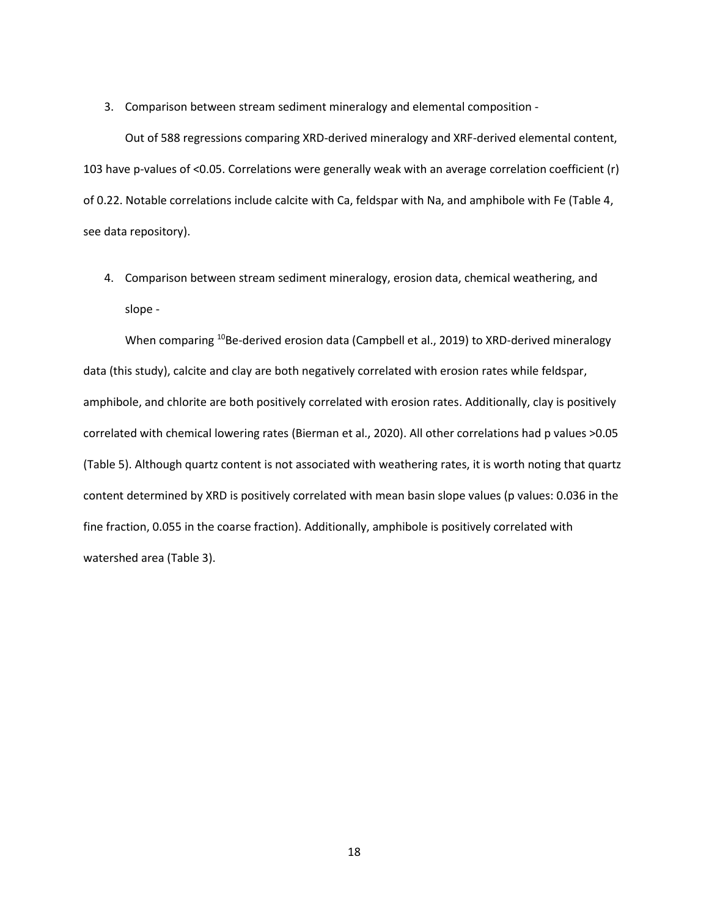3. Comparison between stream sediment mineralogy and elemental composition -

Out of 588 regressions comparing XRD-derived mineralogy and XRF-derived elemental content, 103 have p-values of <0.05. Correlations were generally weak with an average correlation coefficient (r) of 0.22. Notable correlations include calcite with Ca, feldspar with Na, and amphibole with Fe (Table 4, see data repository).

4. Comparison between stream sediment mineralogy, erosion data, chemical weathering, and slope -

When comparing <sup>10</sup>Be-derived erosion data (Campbell et al., 2019) to XRD-derived mineralogy data (this study), calcite and clay are both negatively correlated with erosion rates while feldspar, amphibole, and chlorite are both positively correlated with erosion rates. Additionally, clay is positively correlated with chemical lowering rates (Bierman et al., 2020). All other correlations had p values >0.05 (Table 5). Although quartz content is not associated with weathering rates, it is worth noting that quartz content determined by XRD is positively correlated with mean basin slope values (p values: 0.036 in the fine fraction, 0.055 in the coarse fraction). Additionally, amphibole is positively correlated with watershed area (Table 3).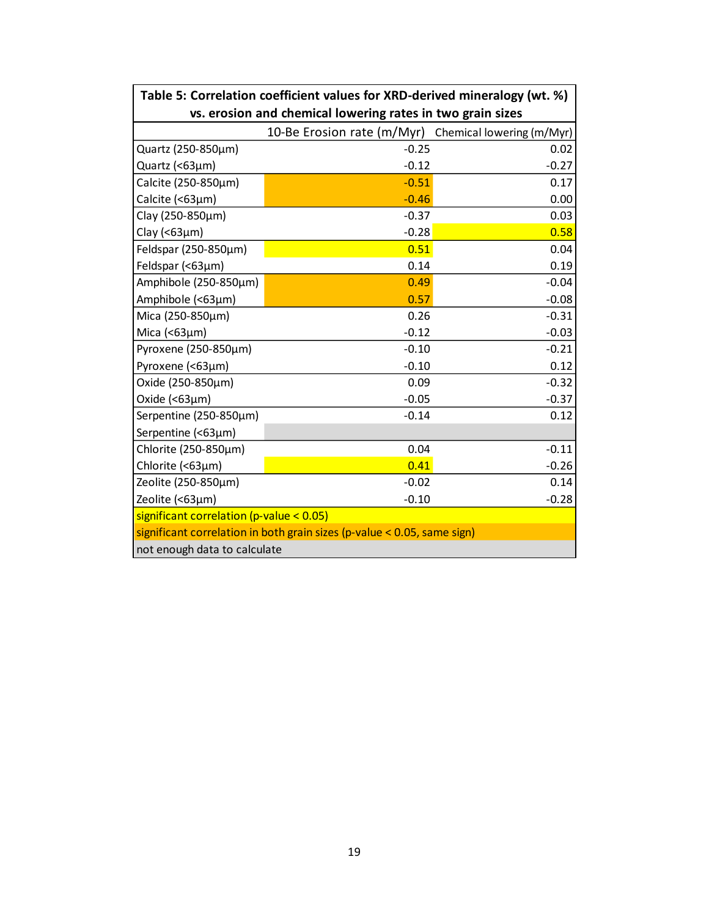| Table 5: Correlation coefficient values for XRD-derived mineralogy (wt. %) |                                                      |         |  |  |  |
|----------------------------------------------------------------------------|------------------------------------------------------|---------|--|--|--|
| vs. erosion and chemical lowering rates in two grain sizes                 |                                                      |         |  |  |  |
|                                                                            | 10-Be Erosion rate (m/Myr) Chemical lowering (m/Myr) |         |  |  |  |
| Quartz (250-850µm)                                                         | $-0.25$                                              | 0.02    |  |  |  |
| Quartz (<63µm)                                                             | $-0.12$                                              | $-0.27$ |  |  |  |
| Calcite (250-850µm)                                                        | $-0.51$                                              | 0.17    |  |  |  |
| Calcite (<63µm)                                                            | $-0.46$                                              | 0.00    |  |  |  |
| Clay (250-850µm)                                                           | $-0.37$                                              | 0.03    |  |  |  |
| Clay ( $<$ 63 $\mu$ m)                                                     | $-0.28$                                              | 0.58    |  |  |  |
| Feldspar (250-850µm)                                                       | 0.51                                                 | 0.04    |  |  |  |
| Feldspar (<63µm)                                                           | 0.14                                                 | 0.19    |  |  |  |
| Amphibole (250-850µm)                                                      | 0.49                                                 | $-0.04$ |  |  |  |
| Amphibole (<63µm)                                                          | 0.57                                                 | $-0.08$ |  |  |  |
| Mica (250-850µm)                                                           | 0.26                                                 | $-0.31$ |  |  |  |
| Mica $($ <63 $\mu$ m $)$                                                   | $-0.12$                                              | $-0.03$ |  |  |  |
| Pyroxene (250-850µm)                                                       | $-0.10$                                              | $-0.21$ |  |  |  |
| Pyroxene (<63µm)                                                           | $-0.10$                                              | 0.12    |  |  |  |
| Oxide (250-850µm)                                                          | 0.09                                                 | $-0.32$ |  |  |  |
| Oxide $( < 63 \mu m)$                                                      | $-0.05$                                              | $-0.37$ |  |  |  |
| Serpentine (250-850µm)                                                     | $-0.14$                                              | 0.12    |  |  |  |
| Serpentine (<63µm)                                                         |                                                      |         |  |  |  |
| Chlorite (250-850µm)                                                       | 0.04                                                 | $-0.11$ |  |  |  |
| Chlorite (<63µm)                                                           | 0.41                                                 | $-0.26$ |  |  |  |
| Zeolite (250-850µm)                                                        | $-0.02$                                              | 0.14    |  |  |  |
| Zeolite (<63µm)                                                            | $-0.10$                                              | $-0.28$ |  |  |  |
| significant correlation (p-value < $0.05$ )                                |                                                      |         |  |  |  |
| significant correlation in both grain sizes (p-value < 0.05, same sign)    |                                                      |         |  |  |  |
| not enough data to calculate                                               |                                                      |         |  |  |  |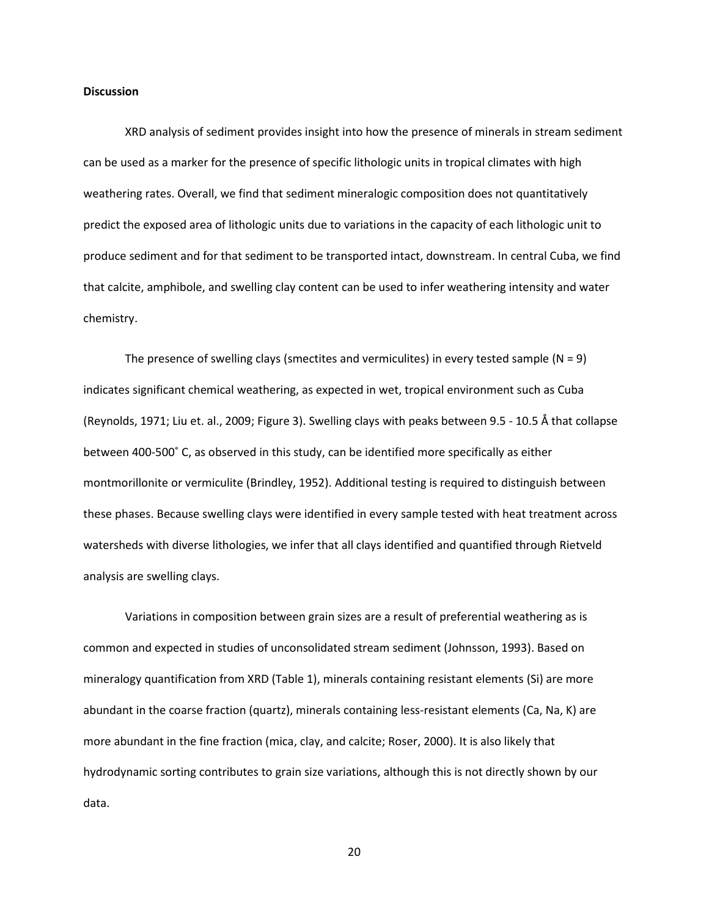#### **Discussion**

XRD analysis of sediment provides insight into how the presence of minerals in stream sediment can be used as a marker for the presence of specific lithologic units in tropical climates with high weathering rates. Overall, we find that sediment mineralogic composition does not quantitatively predict the exposed area of lithologic units due to variations in the capacity of each lithologic unit to produce sediment and for that sediment to be transported intact, downstream. In central Cuba, we find that calcite, amphibole, and swelling clay content can be used to infer weathering intensity and water chemistry.

The presence of swelling clays (smectites and vermiculites) in every tested sample ( $N = 9$ ) indicates significant chemical weathering, as expected in wet, tropical environment such as Cuba (Reynolds, 1971; Liu et. al., 2009; Figure 3). Swelling clays with peaks between 9.5 - 10.5 Å that collapse between 400-500˚ C, as observed in this study, can be identified more specifically as either montmorillonite or vermiculite (Brindley, 1952). Additional testing is required to distinguish between these phases. Because swelling clays were identified in every sample tested with heat treatment across watersheds with diverse lithologies, we infer that all clays identified and quantified through Rietveld analysis are swelling clays.

Variations in composition between grain sizes are a result of preferential weathering as is common and expected in studies of unconsolidated stream sediment (Johnsson, 1993). Based on mineralogy quantification from XRD (Table 1), minerals containing resistant elements (Si) are more abundant in the coarse fraction (quartz), minerals containing less-resistant elements (Ca, Na, K) are more abundant in the fine fraction (mica, clay, and calcite; Roser, 2000). It is also likely that hydrodynamic sorting contributes to grain size variations, although this is not directly shown by our data.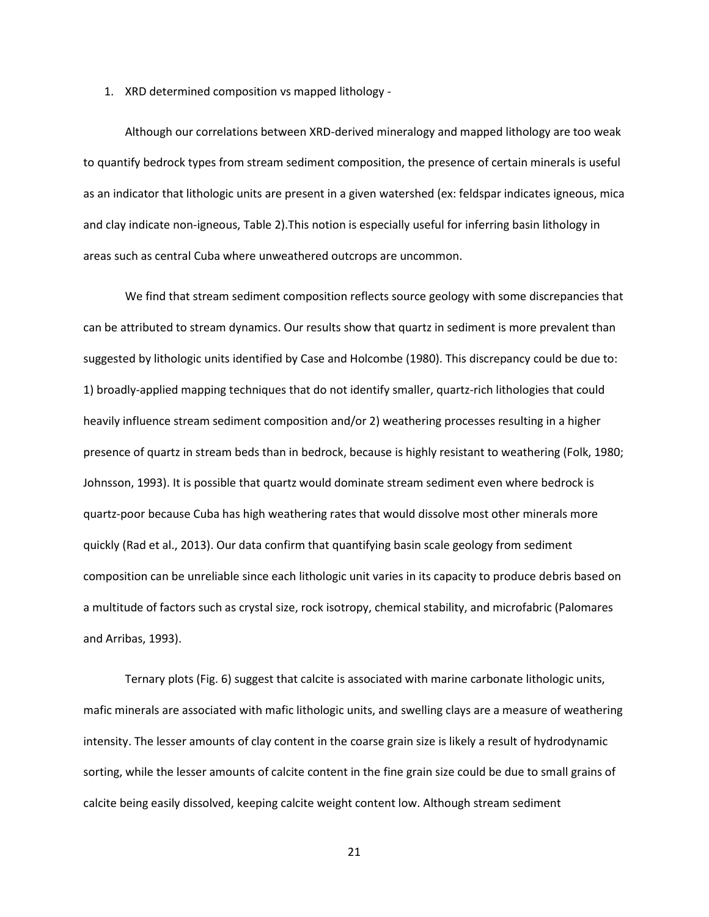1. XRD determined composition vs mapped lithology -

Although our correlations between XRD-derived mineralogy and mapped lithology are too weak to quantify bedrock types from stream sediment composition, the presence of certain minerals is useful as an indicator that lithologic units are present in a given watershed (ex: feldspar indicates igneous, mica and clay indicate non-igneous, Table 2).This notion is especially useful for inferring basin lithology in areas such as central Cuba where unweathered outcrops are uncommon.

We find that stream sediment composition reflects source geology with some discrepancies that can be attributed to stream dynamics. Our results show that quartz in sediment is more prevalent than suggested by lithologic units identified by Case and Holcombe (1980). This discrepancy could be due to: 1) broadly-applied mapping techniques that do not identify smaller, quartz-rich lithologies that could heavily influence stream sediment composition and/or 2) weathering processes resulting in a higher presence of quartz in stream beds than in bedrock, because is highly resistant to weathering (Folk, 1980; Johnsson, 1993). It is possible that quartz would dominate stream sediment even where bedrock is quartz-poor because Cuba has high weathering rates that would dissolve most other minerals more quickly (Rad et al., 2013). Our data confirm that quantifying basin scale geology from sediment composition can be unreliable since each lithologic unit varies in its capacity to produce debris based on a multitude of factors such as crystal size, rock isotropy, chemical stability, and microfabric (Palomares and Arribas, 1993).

Ternary plots (Fig. 6) suggest that calcite is associated with marine carbonate lithologic units, mafic minerals are associated with mafic lithologic units, and swelling clays are a measure of weathering intensity. The lesser amounts of clay content in the coarse grain size is likely a result of hydrodynamic sorting, while the lesser amounts of calcite content in the fine grain size could be due to small grains of calcite being easily dissolved, keeping calcite weight content low. Although stream sediment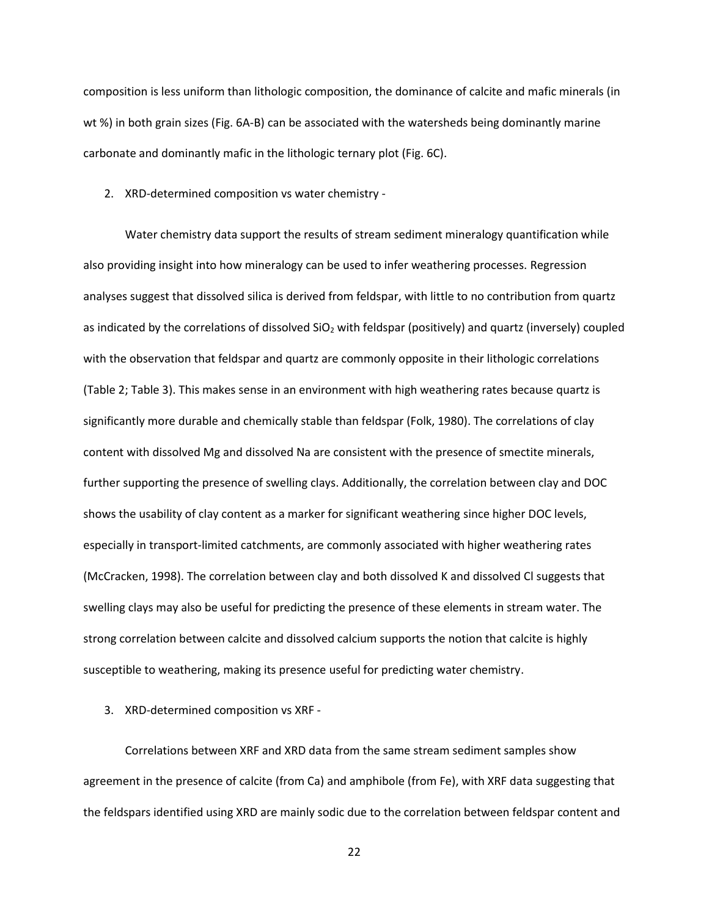composition is less uniform than lithologic composition, the dominance of calcite and mafic minerals (in wt %) in both grain sizes (Fig. 6A-B) can be associated with the watersheds being dominantly marine carbonate and dominantly mafic in the lithologic ternary plot (Fig. 6C).

2. XRD-determined composition vs water chemistry -

Water chemistry data support the results of stream sediment mineralogy quantification while also providing insight into how mineralogy can be used to infer weathering processes. Regression analyses suggest that dissolved silica is derived from feldspar, with little to no contribution from quartz as indicated by the correlations of dissolved  $SiO<sub>2</sub>$  with feldspar (positively) and quartz (inversely) coupled with the observation that feldspar and quartz are commonly opposite in their lithologic correlations (Table 2; Table 3). This makes sense in an environment with high weathering rates because quartz is significantly more durable and chemically stable than feldspar (Folk, 1980). The correlations of clay content with dissolved Mg and dissolved Na are consistent with the presence of smectite minerals, further supporting the presence of swelling clays. Additionally, the correlation between clay and DOC shows the usability of clay content as a marker for significant weathering since higher DOC levels, especially in transport-limited catchments, are commonly associated with higher weathering rates (McCracken, 1998). The correlation between clay and both dissolved K and dissolved Cl suggests that swelling clays may also be useful for predicting the presence of these elements in stream water. The strong correlation between calcite and dissolved calcium supports the notion that calcite is highly susceptible to weathering, making its presence useful for predicting water chemistry.

3. XRD-determined composition vs XRF -

Correlations between XRF and XRD data from the same stream sediment samples show agreement in the presence of calcite (from Ca) and amphibole (from Fe), with XRF data suggesting that the feldspars identified using XRD are mainly sodic due to the correlation between feldspar content and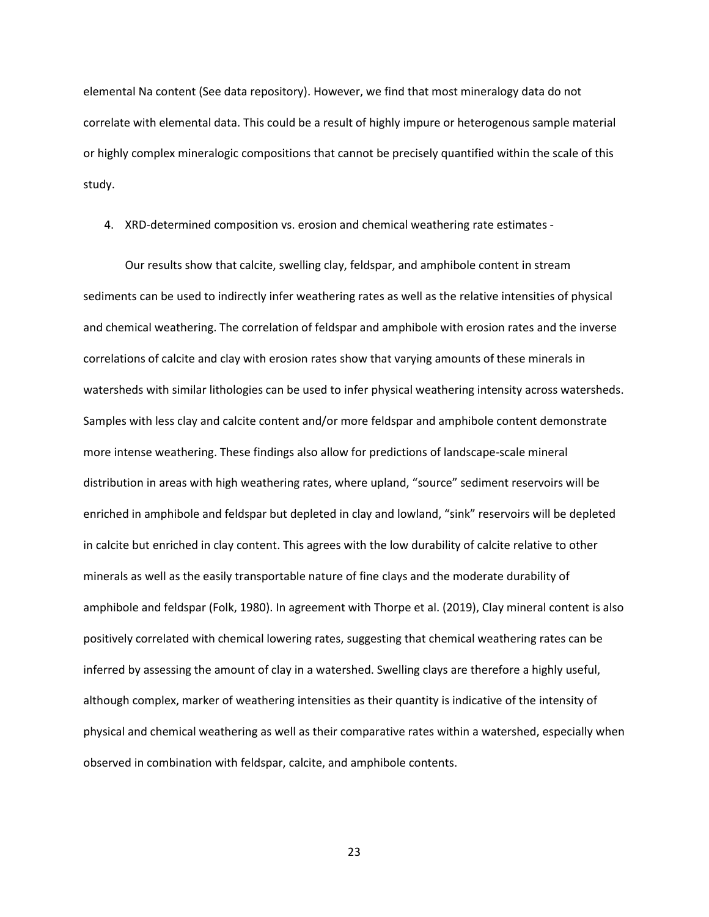elemental Na content (See data repository). However, we find that most mineralogy data do not correlate with elemental data. This could be a result of highly impure or heterogenous sample material or highly complex mineralogic compositions that cannot be precisely quantified within the scale of this study.

4. XRD-determined composition vs. erosion and chemical weathering rate estimates -

Our results show that calcite, swelling clay, feldspar, and amphibole content in stream sediments can be used to indirectly infer weathering rates as well as the relative intensities of physical and chemical weathering. The correlation of feldspar and amphibole with erosion rates and the inverse correlations of calcite and clay with erosion rates show that varying amounts of these minerals in watersheds with similar lithologies can be used to infer physical weathering intensity across watersheds. Samples with less clay and calcite content and/or more feldspar and amphibole content demonstrate more intense weathering. These findings also allow for predictions of landscape-scale mineral distribution in areas with high weathering rates, where upland, "source" sediment reservoirs will be enriched in amphibole and feldspar but depleted in clay and lowland, "sink" reservoirs will be depleted in calcite but enriched in clay content. This agrees with the low durability of calcite relative to other minerals as well as the easily transportable nature of fine clays and the moderate durability of amphibole and feldspar (Folk, 1980). In agreement with Thorpe et al. (2019), Clay mineral content is also positively correlated with chemical lowering rates, suggesting that chemical weathering rates can be inferred by assessing the amount of clay in a watershed. Swelling clays are therefore a highly useful, although complex, marker of weathering intensities as their quantity is indicative of the intensity of physical and chemical weathering as well as their comparative rates within a watershed, especially when observed in combination with feldspar, calcite, and amphibole contents.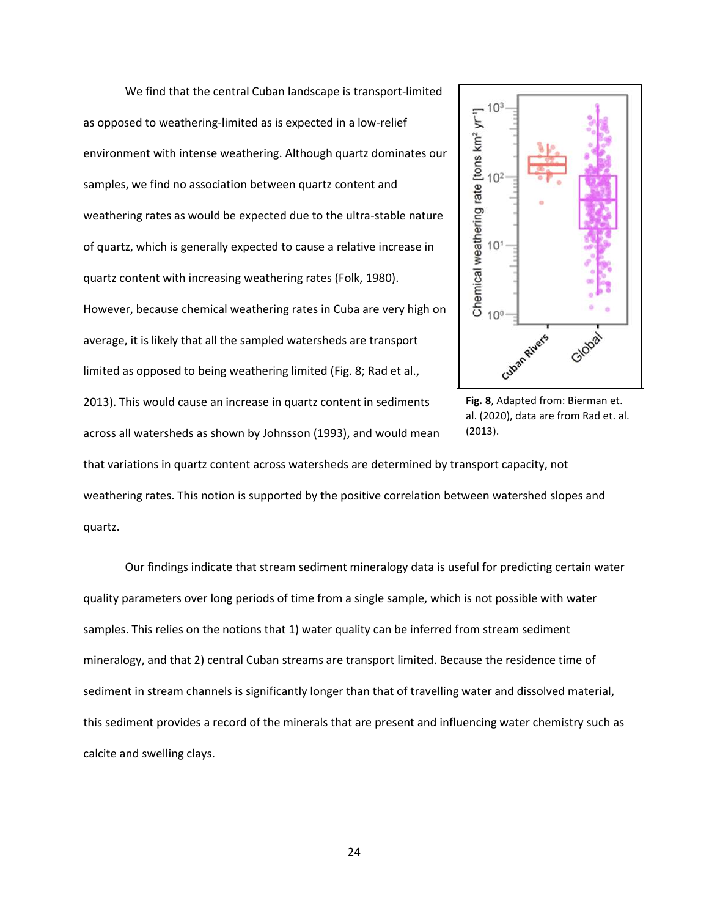We find that the central Cuban landscape is transport-limited as opposed to weathering-limited as is expected in a low-relief environment with intense weathering. Although quartz dominates our samples, we find no association between quartz content and weathering rates as would be expected due to the ultra-stable nature of quartz, which is generally expected to cause a relative increase in quartz content with increasing weathering rates (Folk, 1980). However, because chemical weathering rates in Cuba are very high on average, it is likely that all the sampled watersheds are transport limited as opposed to being weathering limited (Fig. 8; Rad et al., 2013). This would cause an increase in quartz content in sediments across all watersheds as shown by Johnsson (1993), and would mean





that variations in quartz content across watersheds are determined by transport capacity, not weathering rates. This notion is supported by the positive correlation between watershed slopes and quartz.

Our findings indicate that stream sediment mineralogy data is useful for predicting certain water quality parameters over long periods of time from a single sample, which is not possible with water samples. This relies on the notions that 1) water quality can be inferred from stream sediment mineralogy, and that 2) central Cuban streams are transport limited. Because the residence time of sediment in stream channels is significantly longer than that of travelling water and dissolved material, this sediment provides a record of the minerals that are present and influencing water chemistry such as calcite and swelling clays.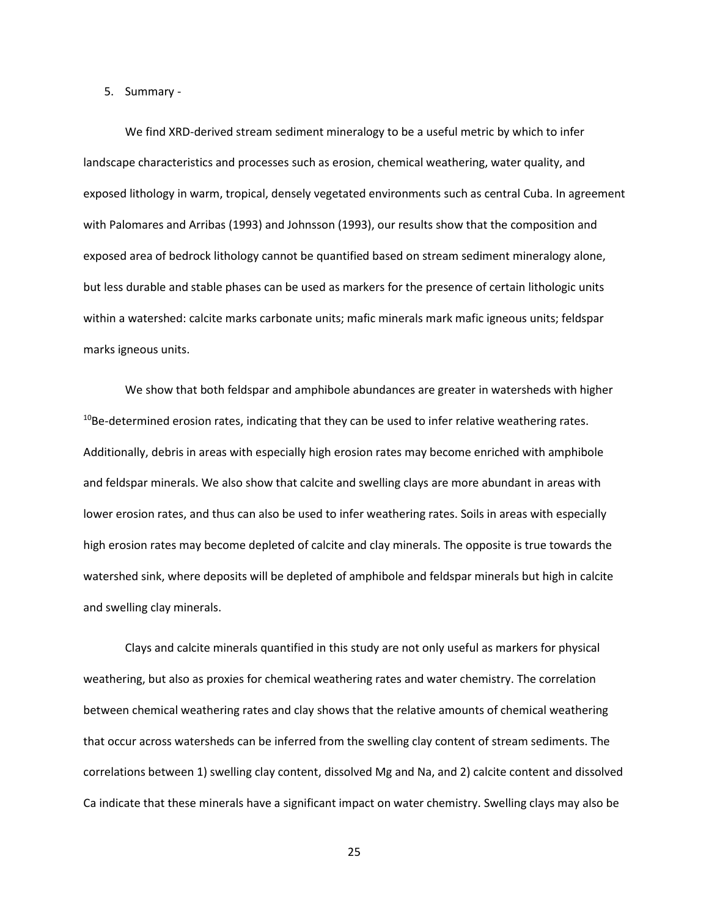#### 5. Summary -

We find XRD-derived stream sediment mineralogy to be a useful metric by which to infer landscape characteristics and processes such as erosion, chemical weathering, water quality, and exposed lithology in warm, tropical, densely vegetated environments such as central Cuba. In agreement with Palomares and Arribas (1993) and Johnsson (1993), our results show that the composition and exposed area of bedrock lithology cannot be quantified based on stream sediment mineralogy alone, but less durable and stable phases can be used as markers for the presence of certain lithologic units within a watershed: calcite marks carbonate units; mafic minerals mark mafic igneous units; feldspar marks igneous units.

We show that both feldspar and amphibole abundances are greater in watersheds with higher  $10B$ e-determined erosion rates, indicating that they can be used to infer relative weathering rates. Additionally, debris in areas with especially high erosion rates may become enriched with amphibole and feldspar minerals. We also show that calcite and swelling clays are more abundant in areas with lower erosion rates, and thus can also be used to infer weathering rates. Soils in areas with especially high erosion rates may become depleted of calcite and clay minerals. The opposite is true towards the watershed sink, where deposits will be depleted of amphibole and feldspar minerals but high in calcite and swelling clay minerals.

Clays and calcite minerals quantified in this study are not only useful as markers for physical weathering, but also as proxies for chemical weathering rates and water chemistry. The correlation between chemical weathering rates and clay shows that the relative amounts of chemical weathering that occur across watersheds can be inferred from the swelling clay content of stream sediments. The correlations between 1) swelling clay content, dissolved Mg and Na, and 2) calcite content and dissolved Ca indicate that these minerals have a significant impact on water chemistry. Swelling clays may also be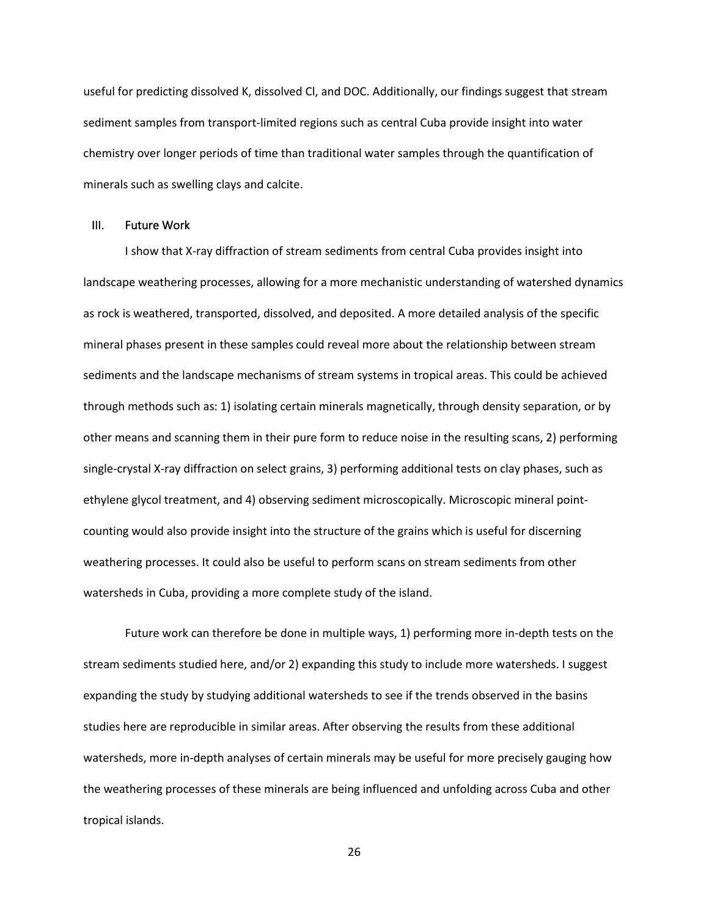useful for predicting dissolved K, dissolved Cl, and DOC. Additionally, our findings suggest that stream sediment samples from transport-limited regions such as central Cuba provide insight into water chemistry over longer periods of time than traditional water samples through the quantification of minerals such as swelling clays and calcite.

#### III. Future Work

I show that X-ray diffraction of stream sediments from central Cuba provides insight into landscape weathering processes, allowing for a more mechanistic understanding of watershed dynamics as rock is weathered, transported, dissolved, and deposited. A more detailed analysis of the specific mineral phases present in these samples could reveal more about the relationship between stream sediments and the landscape mechanisms of stream systems in tropical areas. This could be achieved through methods such as: 1) isolating certain minerals magnetically, through density separation, or by other means and scanning them in their pure form to reduce noise in the resulting scans, 2) performing single-crystal X-ray diffraction on select grains, 3) performing additional tests on clay phases, such as ethylene glycol treatment, and 4) observing sediment microscopically. Microscopic mineral pointcounting would also provide insight into the structure of the grains which is useful for discerning weathering processes. It could also be useful to perform scans on stream sediments from other watersheds in Cuba, providing a more complete study of the island.

Future work can therefore be done in multiple ways, 1) performing more in-depth tests on the stream sediments studied here, and/or 2) expanding this study to include more watersheds. I suggest expanding the study by studying additional watersheds to see if the trends observed in the basins studies here are reproducible in similar areas. After observing the results from these additional watersheds, more in-depth analyses of certain minerals may be useful for more precisely gauging how the weathering processes of these minerals are being influenced and unfolding across Cuba and other tropical islands.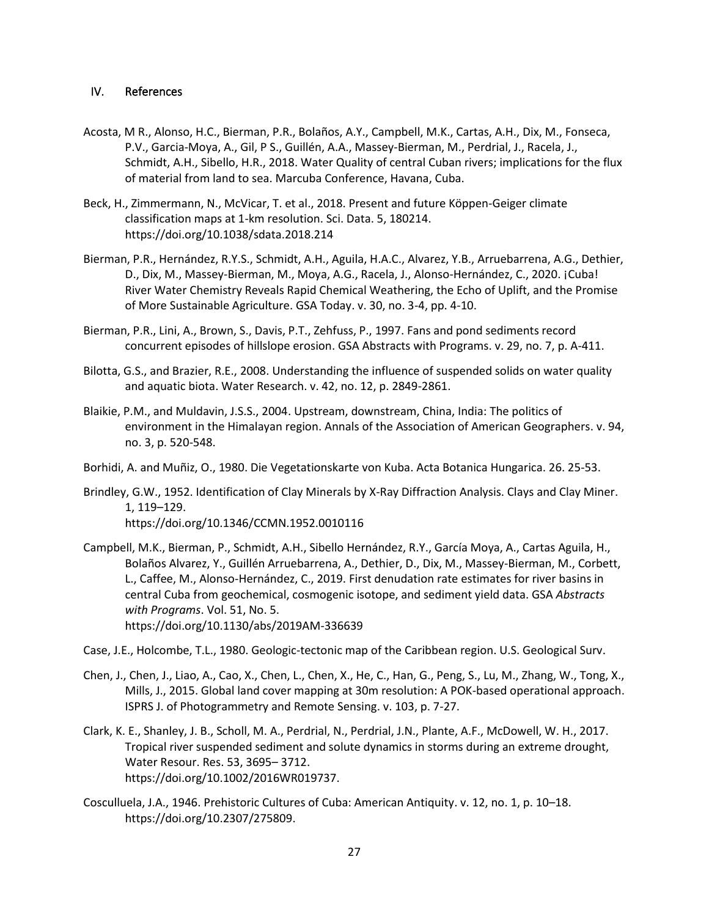#### IV. References

- Acosta, M R., Alonso, H.C., Bierman, P.R., Bolaños, A.Y., Campbell, M.K., Cartas, A.H., Dix, M., Fonseca, P.V., Garcia-Moya, A., Gil, P S., Guillén, A.A., Massey-Bierman, M., Perdrial, J., Racela, J., Schmidt, A.H., Sibello, H.R., 2018. Water Quality of central Cuban rivers; implications for the flux of material from land to sea. Marcuba Conference, Havana, Cuba.
- Beck, H., Zimmermann, N., McVicar, T. et al., 2018. Present and future Köppen-Geiger climate classification maps at 1-km resolution. Sci. Data. 5, 180214. https://doi.org/10.1038/sdata.2018.214
- Bierman, P.R., Hernández, R.Y.S., Schmidt, A.H., Aguila, H.A.C., Alvarez, Y.B., Arruebarrena, A.G., Dethier, D., Dix, M., Massey-Bierman, M., Moya, A.G., Racela, J., Alonso-Hernández, C., 2020. ¡Cuba! River Water Chemistry Reveals Rapid Chemical Weathering, the Echo of Uplift, and the Promise of More Sustainable Agriculture. GSA Today. v. 30, no. 3-4, pp. 4-10.
- Bierman, P.R., Lini, A., Brown, S., Davis, P.T., Zehfuss, P., 1997. Fans and pond sediments record concurrent episodes of hillslope erosion. GSA Abstracts with Programs. v. 29, no. 7, p. A-411.
- Bilotta, G.S., and Brazier, R.E., 2008. Understanding the influence of suspended solids on water quality and aquatic biota. Water Research. v. 42, no. 12, p. 2849-2861.
- Blaikie, P.M., and Muldavin, J.S.S., 2004. Upstream, downstream, China, India: The politics of environment in the Himalayan region. Annals of the Association of American Geographers. v. 94, no. 3, p. 520-548.
- Borhidi, A. and Muñiz, O., 1980. Die Vegetationskarte von Kuba. Acta Botanica Hungarica. 26. 25-53.
- Brindley, G.W., 1952. Identification of Clay Minerals by X-Ray Diffraction Analysis. Clays and Clay Miner. 1, 119–129. https://doi.org/10.1346/CCMN.1952.0010116
- Campbell, M.K., Bierman, P., Schmidt, A.H., Sibello Hernández, R.Y., García Moya, A., Cartas Aguila, H., Bolaños Alvarez, Y., Guillén Arruebarrena, A., Dethier, D., Dix, M., Massey-Bierman, M., Corbett, L., Caffee, M., Alonso-Hernández, C., 2019. First denudation rate estimates for river basins in central Cuba from geochemical, cosmogenic isotope, and sediment yield data. GSA *Abstracts with Programs*. Vol. 51, No. 5. https://doi.org/10.1130/abs/2019AM-336639

Case, J.E., Holcombe, T.L., 1980. Geologic-tectonic map of the Caribbean region. U.S. Geological Surv.

- Chen, J., Chen, J., Liao, A., Cao, X., Chen, L., Chen, X., He, C., Han, G., Peng, S., Lu, M., Zhang, W., Tong, X., Mills, J., 2015. Global land cover mapping at 30m resolution: A POK-based operational approach. ISPRS J. of Photogrammetry and Remote Sensing. v. 103, p. 7-27.
- Clark, K. E., Shanley, J. B., Scholl, M. A., Perdrial, N., Perdrial, J.N., Plante, A.F., McDowell, W. H., 2017. Tropical river suspended sediment and solute dynamics in storms during an extreme drought, Water Resour. Res. 53, 3695– 3712. https://doi.org/10.1002/2016WR019737.
- Cosculluela, J.A., 1946. Prehistoric Cultures of Cuba: American Antiquity. v. 12, no. 1, p. 10–18. https://doi.org/10.2307/275809.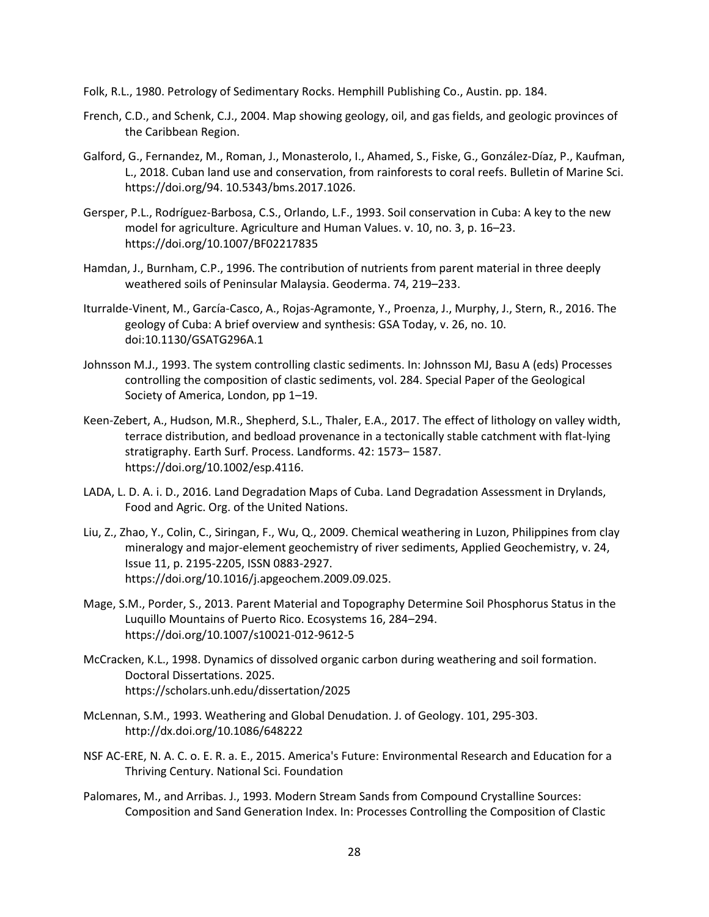Folk, R.L., 1980. Petrology of Sedimentary Rocks. Hemphill Publishing Co., Austin. pp. 184.

- French, C.D., and Schenk, C.J., 2004. Map showing geology, oil, and gas fields, and geologic provinces of the Caribbean Region.
- Galford, G., Fernandez, M., Roman, J., Monasterolo, I., Ahamed, S., Fiske, G., González-Díaz, P., Kaufman, L., 2018. Cuban land use and conservation, from rainforests to coral reefs. Bulletin of Marine Sci. https://doi.org/94. 10.5343/bms.2017.1026.
- Gersper, P.L., Rodríguez-Barbosa, C.S., Orlando, L.F., 1993. Soil conservation in Cuba: A key to the new model for agriculture. Agriculture and Human Values. v. 10, no. 3, p. 16–23. https://doi.org/10.1007/BF02217835
- Hamdan, J., Burnham, C.P., 1996. The contribution of nutrients from parent material in three deeply weathered soils of Peninsular Malaysia. Geoderma. 74, 219–233.
- Iturralde-Vinent, M., García-Casco, A., Rojas-Agramonte, Y., Proenza, J., Murphy, J., Stern, R., 2016. The geology of Cuba: A brief overview and synthesis: GSA Today, v. 26, no. 10. doi:10.1130/GSATG296A.1
- Johnsson M.J., 1993. The system controlling clastic sediments. In: Johnsson MJ, Basu A (eds) Processes controlling the composition of clastic sediments, vol. 284. Special Paper of the Geological Society of America, London, pp 1–19.
- Keen-Zebert, A., Hudson, M.R., Shepherd, S.L., Thaler, E.A., 2017. The effect of lithology on valley width, terrace distribution, and bedload provenance in a tectonically stable catchment with flat‐lying stratigraphy. Earth Surf. Process. Landforms. 42: 1573– 1587. https://doi.org/10.1002/esp.4116.
- LADA, L. D. A. i. D., 2016. Land Degradation Maps of Cuba. Land Degradation Assessment in Drylands, Food and Agric. Org. of the United Nations.
- Liu, Z., Zhao, Y., Colin, C., Siringan, F., Wu, Q., 2009. Chemical weathering in Luzon, Philippines from clay mineralogy and major-element geochemistry of river sediments, Applied Geochemistry, v. 24, Issue 11, p. 2195-2205, ISSN 0883-2927. https://doi.org/10.1016/j.apgeochem.2009.09.025.
- Mage, S.M., Porder, S., 2013. Parent Material and Topography Determine Soil Phosphorus Status in the Luquillo Mountains of Puerto Rico. Ecosystems 16, 284–294. https://doi.org/10.1007/s10021-012-9612-5
- McCracken, K.L., 1998. Dynamics of dissolved organic carbon during weathering and soil formation. Doctoral Dissertations. 2025. https://scholars.unh.edu/dissertation/2025
- McLennan, S.M., 1993. Weathering and Global Denudation. J. of Geology. 101, 295-303. http://dx.doi.org/10.1086/648222
- NSF AC-ERE, N. A. C. o. E. R. a. E., 2015. America's Future: Environmental Research and Education for a Thriving Century. National Sci. Foundation
- Palomares, M., and Arribas. J., 1993. Modern Stream Sands from Compound Crystalline Sources: Composition and Sand Generation Index. In: Processes Controlling the Composition of Clastic